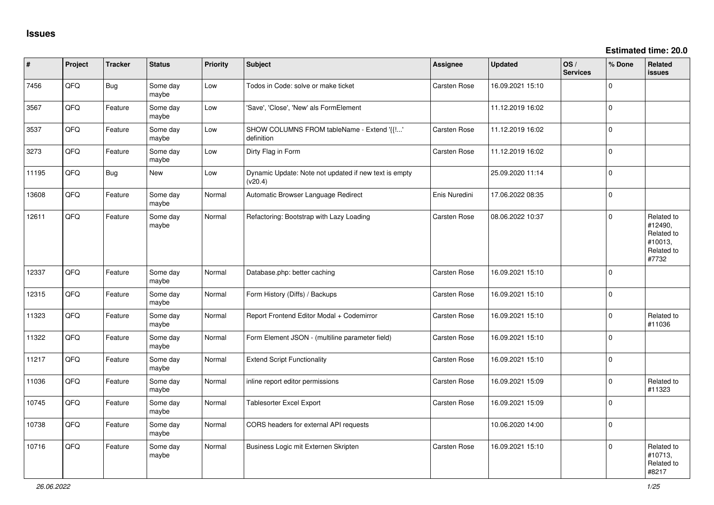| ∦     | Project | <b>Tracker</b> | <b>Status</b>     | <b>Priority</b> | <b>Subject</b>                                                   | Assignee            | <b>Updated</b>   | OS/<br><b>Services</b> | % Done         | Related<br><b>issues</b>                                              |
|-------|---------|----------------|-------------------|-----------------|------------------------------------------------------------------|---------------------|------------------|------------------------|----------------|-----------------------------------------------------------------------|
| 7456  | QFQ     | Bug            | Some day<br>maybe | Low             | Todos in Code: solve or make ticket                              | Carsten Rose        | 16.09.2021 15:10 |                        | $\Omega$       |                                                                       |
| 3567  | QFQ     | Feature        | Some day<br>maybe | Low             | 'Save', 'Close', 'New' als FormElement                           |                     | 11.12.2019 16:02 |                        | $\Omega$       |                                                                       |
| 3537  | QFQ     | Feature        | Some day<br>maybe | Low             | SHOW COLUMNS FROM tableName - Extend '{{'<br>definition          | Carsten Rose        | 11.12.2019 16:02 |                        | $\Omega$       |                                                                       |
| 3273  | QFQ     | Feature        | Some day<br>maybe | Low             | Dirty Flag in Form                                               | Carsten Rose        | 11.12.2019 16:02 |                        | $\mathbf 0$    |                                                                       |
| 11195 | QFQ     | Bug            | New               | Low             | Dynamic Update: Note not updated if new text is empty<br>(v20.4) |                     | 25.09.2020 11:14 |                        | $\Omega$       |                                                                       |
| 13608 | QFQ     | Feature        | Some day<br>maybe | Normal          | Automatic Browser Language Redirect                              | Enis Nuredini       | 17.06.2022 08:35 |                        | $\Omega$       |                                                                       |
| 12611 | QFQ     | Feature        | Some day<br>maybe | Normal          | Refactoring: Bootstrap with Lazy Loading                         | <b>Carsten Rose</b> | 08.06.2022 10:37 |                        | $\Omega$       | Related to<br>#12490,<br>Related to<br>#10013,<br>Related to<br>#7732 |
| 12337 | QFQ     | Feature        | Some day<br>maybe | Normal          | Database.php: better caching                                     | Carsten Rose        | 16.09.2021 15:10 |                        | $\overline{0}$ |                                                                       |
| 12315 | QFQ     | Feature        | Some day<br>maybe | Normal          | Form History (Diffs) / Backups                                   | Carsten Rose        | 16.09.2021 15:10 |                        | 0              |                                                                       |
| 11323 | QFQ     | Feature        | Some day<br>maybe | Normal          | Report Frontend Editor Modal + Codemirror                        | Carsten Rose        | 16.09.2021 15:10 |                        | $\Omega$       | Related to<br>#11036                                                  |
| 11322 | QFQ     | Feature        | Some day<br>maybe | Normal          | Form Element JSON - (multiline parameter field)                  | Carsten Rose        | 16.09.2021 15:10 |                        | $\Omega$       |                                                                       |
| 11217 | QFQ     | Feature        | Some day<br>maybe | Normal          | <b>Extend Script Functionality</b>                               | Carsten Rose        | 16.09.2021 15:10 |                        | $\Omega$       |                                                                       |
| 11036 | QFQ     | Feature        | Some day<br>maybe | Normal          | inline report editor permissions                                 | Carsten Rose        | 16.09.2021 15:09 |                        | $\Omega$       | Related to<br>#11323                                                  |
| 10745 | QFQ     | Feature        | Some day<br>maybe | Normal          | Tablesorter Excel Export                                         | <b>Carsten Rose</b> | 16.09.2021 15:09 |                        | $\mathbf 0$    |                                                                       |
| 10738 | QFQ     | Feature        | Some day<br>maybe | Normal          | CORS headers for external API requests                           |                     | 10.06.2020 14:00 |                        | $\Omega$       |                                                                       |
| 10716 | QFQ     | Feature        | Some day<br>maybe | Normal          | Business Logic mit Externen Skripten                             | <b>Carsten Rose</b> | 16.09.2021 15:10 |                        | 0              | Related to<br>#10713,<br>Related to<br>#8217                          |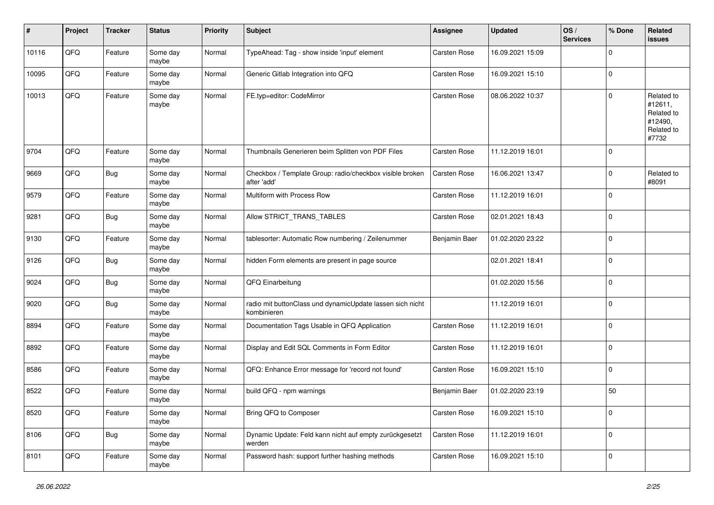| #     | Project | <b>Tracker</b> | <b>Status</b>     | <b>Priority</b> | <b>Subject</b>                                                           | <b>Assignee</b> | <b>Updated</b>   | OS/<br><b>Services</b> | % Done      | Related<br><b>issues</b>                                              |
|-------|---------|----------------|-------------------|-----------------|--------------------------------------------------------------------------|-----------------|------------------|------------------------|-------------|-----------------------------------------------------------------------|
| 10116 | QFQ     | Feature        | Some day<br>maybe | Normal          | TypeAhead: Tag - show inside 'input' element                             | Carsten Rose    | 16.09.2021 15:09 |                        | $\Omega$    |                                                                       |
| 10095 | QFQ     | Feature        | Some day<br>maybe | Normal          | Generic Gitlab Integration into QFQ                                      | Carsten Rose    | 16.09.2021 15:10 |                        | 0           |                                                                       |
| 10013 | QFQ     | Feature        | Some day<br>maybe | Normal          | FE.typ=editor: CodeMirror                                                | Carsten Rose    | 08.06.2022 10:37 |                        | $\Omega$    | Related to<br>#12611,<br>Related to<br>#12490,<br>Related to<br>#7732 |
| 9704  | QFQ     | Feature        | Some day<br>maybe | Normal          | Thumbnails Generieren beim Splitten von PDF Files                        | Carsten Rose    | 11.12.2019 16:01 |                        | $\Omega$    |                                                                       |
| 9669  | QFQ     | Bug            | Some day<br>maybe | Normal          | Checkbox / Template Group: radio/checkbox visible broken<br>after 'add'  | Carsten Rose    | 16.06.2021 13:47 |                        | 0           | Related to<br>#8091                                                   |
| 9579  | QFQ     | Feature        | Some day<br>maybe | Normal          | Multiform with Process Row                                               | Carsten Rose    | 11.12.2019 16:01 |                        | $\mathbf 0$ |                                                                       |
| 9281  | QFQ     | <b>Bug</b>     | Some day<br>maybe | Normal          | Allow STRICT_TRANS_TABLES                                                | Carsten Rose    | 02.01.2021 18:43 |                        | $\mathbf 0$ |                                                                       |
| 9130  | QFQ     | Feature        | Some day<br>maybe | Normal          | tablesorter: Automatic Row numbering / Zeilenummer                       | Benjamin Baer   | 01.02.2020 23:22 |                        | $\Omega$    |                                                                       |
| 9126  | QFQ     | Bug            | Some day<br>maybe | Normal          | hidden Form elements are present in page source                          |                 | 02.01.2021 18:41 |                        | $\mathbf 0$ |                                                                       |
| 9024  | QFQ     | Bug            | Some day<br>maybe | Normal          | QFQ Einarbeitung                                                         |                 | 01.02.2020 15:56 |                        | $\Omega$    |                                                                       |
| 9020  | QFQ     | Bug            | Some day<br>maybe | Normal          | radio mit buttonClass und dynamicUpdate lassen sich nicht<br>kombinieren |                 | 11.12.2019 16:01 |                        | $\Omega$    |                                                                       |
| 8894  | QFQ     | Feature        | Some day<br>maybe | Normal          | Documentation Tags Usable in QFQ Application                             | Carsten Rose    | 11.12.2019 16:01 |                        | $\mathbf 0$ |                                                                       |
| 8892  | QFQ     | Feature        | Some day<br>maybe | Normal          | Display and Edit SQL Comments in Form Editor                             | Carsten Rose    | 11.12.2019 16:01 |                        | $\mathbf 0$ |                                                                       |
| 8586  | QFQ     | Feature        | Some day<br>maybe | Normal          | QFQ: Enhance Error message for 'record not found'                        | Carsten Rose    | 16.09.2021 15:10 |                        | $\mathbf 0$ |                                                                       |
| 8522  | QFQ     | Feature        | Some day<br>maybe | Normal          | build QFQ - npm warnings                                                 | Benjamin Baer   | 01.02.2020 23:19 |                        | 50          |                                                                       |
| 8520  | QFQ     | Feature        | Some day<br>maybe | Normal          | Bring QFQ to Composer                                                    | Carsten Rose    | 16.09.2021 15:10 |                        | $\mathbf 0$ |                                                                       |
| 8106  | QFQ     | <b>Bug</b>     | Some day<br>maybe | Normal          | Dynamic Update: Feld kann nicht auf empty zurückgesetzt<br>werden        | Carsten Rose    | 11.12.2019 16:01 |                        | $\mathbf 0$ |                                                                       |
| 8101  | QFG     | Feature        | Some day<br>maybe | Normal          | Password hash: support further hashing methods                           | Carsten Rose    | 16.09.2021 15:10 |                        | $\mathbf 0$ |                                                                       |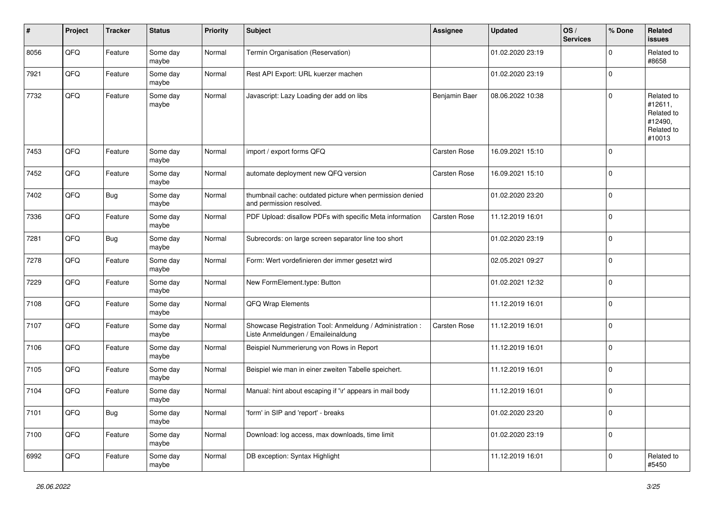| $\sharp$ | Project | <b>Tracker</b> | <b>Status</b>     | <b>Priority</b> | <b>Subject</b>                                                                                 | <b>Assignee</b> | <b>Updated</b>   | OS/<br><b>Services</b> | % Done      | Related<br><b>issues</b>                                               |
|----------|---------|----------------|-------------------|-----------------|------------------------------------------------------------------------------------------------|-----------------|------------------|------------------------|-------------|------------------------------------------------------------------------|
| 8056     | QFQ     | Feature        | Some day<br>maybe | Normal          | Termin Organisation (Reservation)                                                              |                 | 01.02.2020 23:19 |                        | $\Omega$    | Related to<br>#8658                                                    |
| 7921     | QFQ     | Feature        | Some day<br>maybe | Normal          | Rest API Export: URL kuerzer machen                                                            |                 | 01.02.2020 23:19 |                        | $\mathbf 0$ |                                                                        |
| 7732     | QFQ     | Feature        | Some day<br>maybe | Normal          | Javascript: Lazy Loading der add on libs                                                       | Benjamin Baer   | 08.06.2022 10:38 |                        | $\Omega$    | Related to<br>#12611,<br>Related to<br>#12490,<br>Related to<br>#10013 |
| 7453     | QFQ     | Feature        | Some day<br>maybe | Normal          | import / export forms QFQ                                                                      | Carsten Rose    | 16.09.2021 15:10 |                        | $\Omega$    |                                                                        |
| 7452     | QFQ     | Feature        | Some day<br>maybe | Normal          | automate deployment new QFQ version                                                            | Carsten Rose    | 16.09.2021 15:10 |                        | $\mathbf 0$ |                                                                        |
| 7402     | QFQ     | <b>Bug</b>     | Some day<br>maybe | Normal          | thumbnail cache: outdated picture when permission denied<br>and permission resolved.           |                 | 01.02.2020 23:20 |                        | $\mathbf 0$ |                                                                        |
| 7336     | QFQ     | Feature        | Some day<br>maybe | Normal          | PDF Upload: disallow PDFs with specific Meta information                                       | Carsten Rose    | 11.12.2019 16:01 |                        | $\mathbf 0$ |                                                                        |
| 7281     | QFQ     | Bug            | Some day<br>maybe | Normal          | Subrecords: on large screen separator line too short                                           |                 | 01.02.2020 23:19 |                        | $\Omega$    |                                                                        |
| 7278     | QFQ     | Feature        | Some day<br>maybe | Normal          | Form: Wert vordefinieren der immer gesetzt wird                                                |                 | 02.05.2021 09:27 |                        | $\Omega$    |                                                                        |
| 7229     | QFQ     | Feature        | Some day<br>maybe | Normal          | New FormElement.type: Button                                                                   |                 | 01.02.2021 12:32 |                        | $\mathbf 0$ |                                                                        |
| 7108     | QFQ     | Feature        | Some day<br>maybe | Normal          | QFQ Wrap Elements                                                                              |                 | 11.12.2019 16:01 |                        | $\Omega$    |                                                                        |
| 7107     | QFQ     | Feature        | Some day<br>maybe | Normal          | Showcase Registration Tool: Anmeldung / Administration :<br>Liste Anmeldungen / Emaileinaldung | Carsten Rose    | 11.12.2019 16:01 |                        | $\mathbf 0$ |                                                                        |
| 7106     | QFQ     | Feature        | Some day<br>maybe | Normal          | Beispiel Nummerierung von Rows in Report                                                       |                 | 11.12.2019 16:01 |                        | 0           |                                                                        |
| 7105     | QFQ     | Feature        | Some day<br>maybe | Normal          | Beispiel wie man in einer zweiten Tabelle speichert.                                           |                 | 11.12.2019 16:01 |                        | $\mathbf 0$ |                                                                        |
| 7104     | QFQ     | Feature        | Some day<br>maybe | Normal          | Manual: hint about escaping if '\r' appears in mail body                                       |                 | 11.12.2019 16:01 |                        | $\Omega$    |                                                                        |
| 7101     | QFG     | <b>Bug</b>     | Some day<br>maybe | Normal          | 'form' in SIP and 'report' - breaks                                                            |                 | 01.02.2020 23:20 |                        | $\mathbf 0$ |                                                                        |
| 7100     | QFG     | Feature        | Some day<br>maybe | Normal          | Download: log access, max downloads, time limit                                                |                 | 01.02.2020 23:19 |                        | $\mathbf 0$ |                                                                        |
| 6992     | QFQ     | Feature        | Some day<br>maybe | Normal          | DB exception: Syntax Highlight                                                                 |                 | 11.12.2019 16:01 |                        | $\mathbf 0$ | Related to<br>#5450                                                    |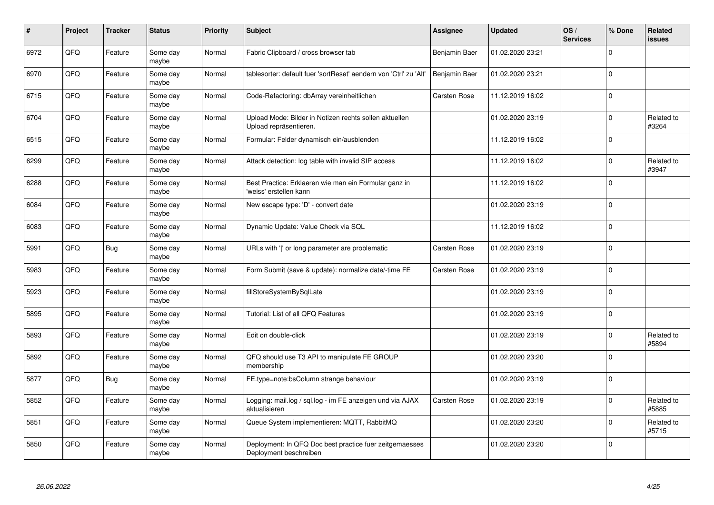| $\pmb{\#}$ | Project | <b>Tracker</b> | <b>Status</b>     | <b>Priority</b> | Subject                                                                           | Assignee            | <b>Updated</b>   | OS/<br><b>Services</b> | % Done      | Related<br>issues   |
|------------|---------|----------------|-------------------|-----------------|-----------------------------------------------------------------------------------|---------------------|------------------|------------------------|-------------|---------------------|
| 6972       | QFQ     | Feature        | Some day<br>maybe | Normal          | Fabric Clipboard / cross browser tab                                              | Benjamin Baer       | 01.02.2020 23:21 |                        | $\Omega$    |                     |
| 6970       | QFQ     | Feature        | Some day<br>maybe | Normal          | tablesorter: default fuer 'sortReset' aendern von 'Ctrl' zu 'Alt'                 | Benjamin Baer       | 01.02.2020 23:21 |                        | $\Omega$    |                     |
| 6715       | QFQ     | Feature        | Some day<br>maybe | Normal          | Code-Refactoring: dbArray vereinheitlichen                                        | Carsten Rose        | 11.12.2019 16:02 |                        | $\Omega$    |                     |
| 6704       | QFQ     | Feature        | Some day<br>maybe | Normal          | Upload Mode: Bilder in Notizen rechts sollen aktuellen<br>Upload repräsentieren.  |                     | 01.02.2020 23:19 |                        | $\Omega$    | Related to<br>#3264 |
| 6515       | QFQ     | Feature        | Some day<br>maybe | Normal          | Formular: Felder dynamisch ein/ausblenden                                         |                     | 11.12.2019 16:02 |                        | $\Omega$    |                     |
| 6299       | QFQ     | Feature        | Some day<br>maybe | Normal          | Attack detection: log table with invalid SIP access                               |                     | 11.12.2019 16:02 |                        | $\mathbf 0$ | Related to<br>#3947 |
| 6288       | QFQ     | Feature        | Some day<br>maybe | Normal          | Best Practice: Erklaeren wie man ein Formular ganz in<br>'weiss' erstellen kann   |                     | 11.12.2019 16:02 |                        | $\Omega$    |                     |
| 6084       | QFQ     | Feature        | Some day<br>maybe | Normal          | New escape type: 'D' - convert date                                               |                     | 01.02.2020 23:19 |                        | $\Omega$    |                     |
| 6083       | QFQ     | Feature        | Some day<br>maybe | Normal          | Dynamic Update: Value Check via SQL                                               |                     | 11.12.2019 16:02 |                        | $\Omega$    |                     |
| 5991       | QFQ     | Bug            | Some day<br>maybe | Normal          | URLs with 'I' or long parameter are problematic                                   | <b>Carsten Rose</b> | 01.02.2020 23:19 |                        | $\mathbf 0$ |                     |
| 5983       | QFQ     | Feature        | Some day<br>maybe | Normal          | Form Submit (save & update): normalize date/-time FE                              | Carsten Rose        | 01.02.2020 23:19 |                        | $\Omega$    |                     |
| 5923       | QFQ     | Feature        | Some day<br>maybe | Normal          | fillStoreSystemBySqlLate                                                          |                     | 01.02.2020 23:19 |                        | $\Omega$    |                     |
| 5895       | QFQ     | Feature        | Some day<br>maybe | Normal          | Tutorial: List of all QFQ Features                                                |                     | 01.02.2020 23:19 |                        | $\mathbf 0$ |                     |
| 5893       | QFQ     | Feature        | Some day<br>maybe | Normal          | Edit on double-click                                                              |                     | 01.02.2020 23:19 |                        | $\mathbf 0$ | Related to<br>#5894 |
| 5892       | QFQ     | Feature        | Some day<br>maybe | Normal          | QFQ should use T3 API to manipulate FE GROUP<br>membership                        |                     | 01.02.2020 23:20 |                        | $\Omega$    |                     |
| 5877       | QFG     | Bug            | Some day<br>maybe | Normal          | FE.type=note:bsColumn strange behaviour                                           |                     | 01.02.2020 23:19 |                        | $\Omega$    |                     |
| 5852       | QFQ     | Feature        | Some day<br>maybe | Normal          | Logging: mail.log / sql.log - im FE anzeigen und via AJAX<br>aktualisieren        | <b>Carsten Rose</b> | 01.02.2020 23:19 |                        | $\Omega$    | Related to<br>#5885 |
| 5851       | QFQ     | Feature        | Some day<br>maybe | Normal          | Queue System implementieren: MQTT, RabbitMQ                                       |                     | 01.02.2020 23:20 |                        | $\Omega$    | Related to<br>#5715 |
| 5850       | QFQ     | Feature        | Some day<br>maybe | Normal          | Deployment: In QFQ Doc best practice fuer zeitgemaesses<br>Deployment beschreiben |                     | 01.02.2020 23:20 |                        | $\Omega$    |                     |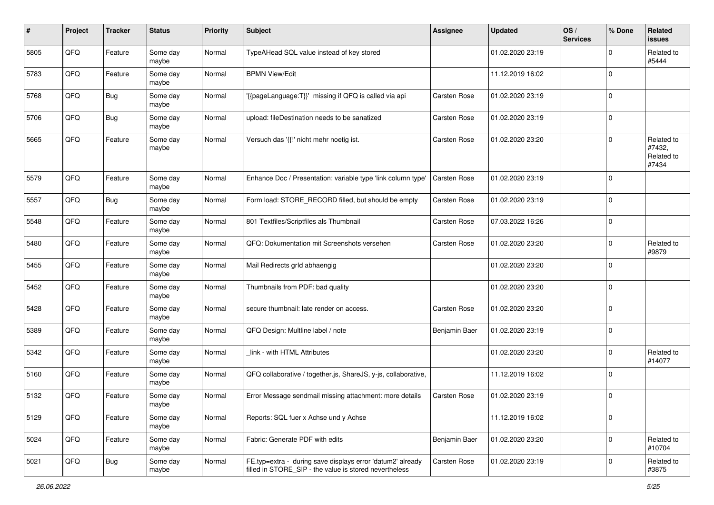| #    | Project | <b>Tracker</b> | <b>Status</b>     | <b>Priority</b> | <b>Subject</b>                                                                                                       | <b>Assignee</b> | <b>Updated</b>   | OS/<br><b>Services</b> | % Done      | Related<br>issues                           |
|------|---------|----------------|-------------------|-----------------|----------------------------------------------------------------------------------------------------------------------|-----------------|------------------|------------------------|-------------|---------------------------------------------|
| 5805 | QFQ     | Feature        | Some day<br>maybe | Normal          | TypeAHead SQL value instead of key stored                                                                            |                 | 01.02.2020 23:19 |                        | $\Omega$    | Related to<br>#5444                         |
| 5783 | QFQ     | Feature        | Some day<br>maybe | Normal          | <b>BPMN View/Edit</b>                                                                                                |                 | 11.12.2019 16:02 |                        | $\Omega$    |                                             |
| 5768 | QFQ     | <b>Bug</b>     | Some day<br>maybe | Normal          | {{pageLanguage:T}}' missing if QFQ is called via api                                                                 | Carsten Rose    | 01.02.2020 23:19 |                        | $\Omega$    |                                             |
| 5706 | QFQ     | <b>Bug</b>     | Some day<br>maybe | Normal          | upload: fileDestination needs to be sanatized                                                                        | Carsten Rose    | 01.02.2020 23:19 |                        | $\Omega$    |                                             |
| 5665 | QFQ     | Feature        | Some day<br>maybe | Normal          | Versuch das '{{!' nicht mehr noetig ist.                                                                             | Carsten Rose    | 01.02.2020 23:20 |                        | $\Omega$    | Related to<br>#7432,<br>Related to<br>#7434 |
| 5579 | QFQ     | Feature        | Some day<br>maybe | Normal          | Enhance Doc / Presentation: variable type 'link column type'                                                         | Carsten Rose    | 01.02.2020 23:19 |                        | 0           |                                             |
| 5557 | QFQ     | <b>Bug</b>     | Some day<br>maybe | Normal          | Form load: STORE_RECORD filled, but should be empty                                                                  | Carsten Rose    | 01.02.2020 23:19 |                        | $\mathbf 0$ |                                             |
| 5548 | QFQ     | Feature        | Some day<br>maybe | Normal          | 801 Textfiles/Scriptfiles als Thumbnail                                                                              | Carsten Rose    | 07.03.2022 16:26 |                        | $\mathbf 0$ |                                             |
| 5480 | QFQ     | Feature        | Some day<br>maybe | Normal          | QFQ: Dokumentation mit Screenshots versehen                                                                          | Carsten Rose    | 01.02.2020 23:20 |                        | $\Omega$    | Related to<br>#9879                         |
| 5455 | QFQ     | Feature        | Some day<br>maybe | Normal          | Mail Redirects grld abhaengig                                                                                        |                 | 01.02.2020 23:20 |                        | $\mathbf 0$ |                                             |
| 5452 | QFQ     | Feature        | Some day<br>maybe | Normal          | Thumbnails from PDF: bad quality                                                                                     |                 | 01.02.2020 23:20 |                        | $\mathbf 0$ |                                             |
| 5428 | QFQ     | Feature        | Some day<br>maybe | Normal          | secure thumbnail: late render on access.                                                                             | Carsten Rose    | 01.02.2020 23:20 |                        | $\Omega$    |                                             |
| 5389 | QFQ     | Feature        | Some day<br>maybe | Normal          | QFQ Design: Multline label / note                                                                                    | Benjamin Baer   | 01.02.2020 23:19 |                        | $\Omega$    |                                             |
| 5342 | QFQ     | Feature        | Some day<br>maybe | Normal          | link - with HTML Attributes                                                                                          |                 | 01.02.2020 23:20 |                        | $\Omega$    | Related to<br>#14077                        |
| 5160 | QFQ     | Feature        | Some day<br>maybe | Normal          | QFQ collaborative / together.js, ShareJS, y-js, collaborative,                                                       |                 | 11.12.2019 16:02 |                        | $\Omega$    |                                             |
| 5132 | QFQ     | Feature        | Some day<br>maybe | Normal          | Error Message sendmail missing attachment: more details                                                              | Carsten Rose    | 01.02.2020 23:19 |                        | $\Omega$    |                                             |
| 5129 | QFG     | Feature        | Some day<br>maybe | Normal          | Reports: SQL fuer x Achse und y Achse                                                                                |                 | 11.12.2019 16:02 |                        | $\mathbf 0$ |                                             |
| 5024 | QFG     | Feature        | Some day<br>maybe | Normal          | Fabric: Generate PDF with edits                                                                                      | Benjamin Baer   | 01.02.2020 23:20 |                        | $\mathbf 0$ | Related to<br>#10704                        |
| 5021 | QFQ     | Bug            | Some day<br>maybe | Normal          | FE.typ=extra - during save displays error 'datum2' already<br>filled in STORE SIP - the value is stored nevertheless | Carsten Rose    | 01.02.2020 23:19 |                        | $\Omega$    | Related to<br>#3875                         |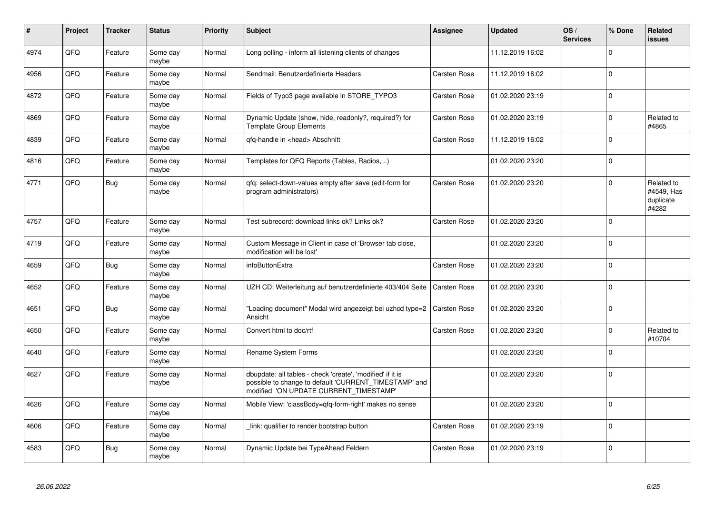| #    | Project | <b>Tracker</b> | <b>Status</b>     | Priority | <b>Subject</b>                                                                                                                                                | Assignee            | <b>Updated</b>   | OS/<br><b>Services</b> | % Done      | Related<br><b>issues</b>                       |
|------|---------|----------------|-------------------|----------|---------------------------------------------------------------------------------------------------------------------------------------------------------------|---------------------|------------------|------------------------|-------------|------------------------------------------------|
| 4974 | QFQ     | Feature        | Some day<br>maybe | Normal   | Long polling - inform all listening clients of changes                                                                                                        |                     | 11.12.2019 16:02 |                        | $\Omega$    |                                                |
| 4956 | QFQ     | Feature        | Some day<br>maybe | Normal   | Sendmail: Benutzerdefinierte Headers                                                                                                                          | Carsten Rose        | 11.12.2019 16:02 |                        | $\Omega$    |                                                |
| 4872 | QFQ     | Feature        | Some day<br>maybe | Normal   | Fields of Typo3 page available in STORE TYPO3                                                                                                                 | <b>Carsten Rose</b> | 01.02.2020 23:19 |                        | $\Omega$    |                                                |
| 4869 | QFQ     | Feature        | Some day<br>maybe | Normal   | Dynamic Update (show, hide, readonly?, required?) for<br><b>Template Group Elements</b>                                                                       | Carsten Rose        | 01.02.2020 23:19 |                        | $\Omega$    | Related to<br>#4865                            |
| 4839 | QFQ     | Feature        | Some day<br>maybe | Normal   | qfq-handle in <head> Abschnitt</head>                                                                                                                         | Carsten Rose        | 11.12.2019 16:02 |                        | $\Omega$    |                                                |
| 4816 | QFQ     | Feature        | Some day<br>maybe | Normal   | Templates for QFQ Reports (Tables, Radios, )                                                                                                                  |                     | 01.02.2020 23:20 |                        | $\Omega$    |                                                |
| 4771 | QFQ     | <b>Bug</b>     | Some day<br>maybe | Normal   | gfg: select-down-values empty after save (edit-form for<br>program administrators)                                                                            | Carsten Rose        | 01.02.2020 23:20 |                        | $\Omega$    | Related to<br>#4549, Has<br>duplicate<br>#4282 |
| 4757 | QFQ     | Feature        | Some day<br>maybe | Normal   | Test subrecord: download links ok? Links ok?                                                                                                                  | <b>Carsten Rose</b> | 01.02.2020 23:20 |                        | $\Omega$    |                                                |
| 4719 | QFQ     | Feature        | Some day<br>maybe | Normal   | Custom Message in Client in case of 'Browser tab close,<br>modification will be lost'                                                                         |                     | 01.02.2020 23:20 |                        | $\Omega$    |                                                |
| 4659 | QFQ     | Bug            | Some day<br>maybe | Normal   | infoButtonExtra                                                                                                                                               | <b>Carsten Rose</b> | 01.02.2020 23:20 |                        | $\Omega$    |                                                |
| 4652 | QFQ     | Feature        | Some day<br>maybe | Normal   | UZH CD: Weiterleitung auf benutzerdefinierte 403/404 Seite                                                                                                    | <b>Carsten Rose</b> | 01.02.2020 23:20 |                        | $\Omega$    |                                                |
| 4651 | QFQ     | Bug            | Some day<br>maybe | Normal   | 'Loading document" Modal wird angezeigt bei uzhcd type=2<br>Ansicht                                                                                           | <b>Carsten Rose</b> | 01.02.2020 23:20 |                        | $\mathbf 0$ |                                                |
| 4650 | QFQ     | Feature        | Some day<br>maybe | Normal   | Convert html to doc/rtf                                                                                                                                       | Carsten Rose        | 01.02.2020 23:20 |                        | $\Omega$    | Related to<br>#10704                           |
| 4640 | QFQ     | Feature        | Some day<br>maybe | Normal   | Rename System Forms                                                                                                                                           |                     | 01.02.2020 23:20 |                        | $\Omega$    |                                                |
| 4627 | QFQ     | Feature        | Some day<br>maybe | Normal   | dbupdate: all tables - check 'create', 'modified' if it is<br>possible to change to default 'CURRENT_TIMESTAMP' and<br>modified 'ON UPDATE CURRENT TIMESTAMP' |                     | 01.02.2020 23:20 |                        | $\mathbf 0$ |                                                |
| 4626 | QFQ     | Feature        | Some day<br>maybe | Normal   | Mobile View: 'classBody=qfq-form-right' makes no sense                                                                                                        |                     | 01.02.2020 23:20 |                        | $\Omega$    |                                                |
| 4606 | QFQ     | Feature        | Some day<br>maybe | Normal   | link: qualifier to render bootstrap button                                                                                                                    | <b>Carsten Rose</b> | 01.02.2020 23:19 |                        | $\Omega$    |                                                |
| 4583 | QFQ     | Bug            | Some day<br>maybe | Normal   | Dynamic Update bei TypeAhead Feldern                                                                                                                          | <b>Carsten Rose</b> | 01.02.2020 23:19 |                        | $\Omega$    |                                                |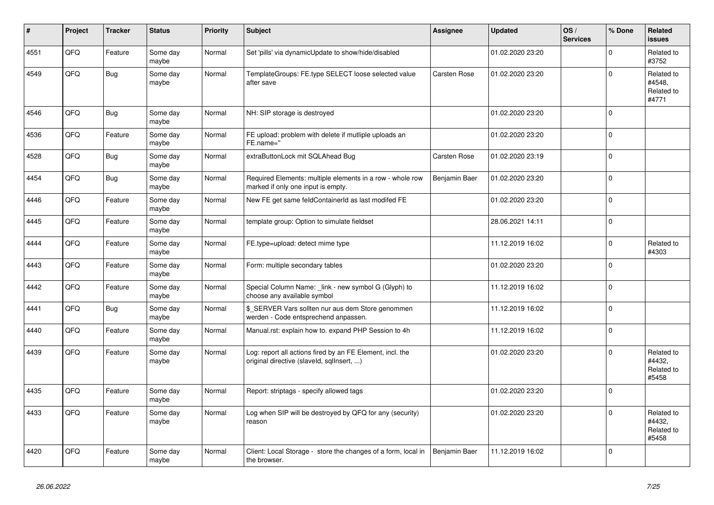| #    | Project | <b>Tracker</b> | <b>Status</b>     | Priority | <b>Subject</b>                                                                                         | Assignee            | <b>Updated</b>   | OS/<br><b>Services</b> | % Done      | Related<br><b>issues</b>                    |
|------|---------|----------------|-------------------|----------|--------------------------------------------------------------------------------------------------------|---------------------|------------------|------------------------|-------------|---------------------------------------------|
| 4551 | QFQ     | Feature        | Some day<br>maybe | Normal   | Set 'pills' via dynamicUpdate to show/hide/disabled                                                    |                     | 01.02.2020 23:20 |                        | $\Omega$    | Related to<br>#3752                         |
| 4549 | QFQ     | Bug            | Some day<br>maybe | Normal   | TemplateGroups: FE.type SELECT loose selected value<br>after save                                      | <b>Carsten Rose</b> | 01.02.2020 23:20 |                        | $\Omega$    | Related to<br>#4548,<br>Related to<br>#4771 |
| 4546 | QFQ     | Bug            | Some day<br>maybe | Normal   | NH: SIP storage is destroyed                                                                           |                     | 01.02.2020 23:20 |                        | $\Omega$    |                                             |
| 4536 | QFQ     | Feature        | Some day<br>maybe | Normal   | FE upload: problem with delete if mutliple uploads an<br>FE.name="                                     |                     | 01.02.2020 23:20 |                        | $\Omega$    |                                             |
| 4528 | QFQ     | Bug            | Some day<br>maybe | Normal   | extraButtonLock mit SQLAhead Bug                                                                       | <b>Carsten Rose</b> | 01.02.2020 23:19 |                        | $\Omega$    |                                             |
| 4454 | QFQ     | <b>Bug</b>     | Some day<br>maybe | Normal   | Required Elements: multiple elements in a row - whole row<br>marked if only one input is empty.        | Benjamin Baer       | 01.02.2020 23:20 |                        | $\Omega$    |                                             |
| 4446 | QFQ     | Feature        | Some day<br>maybe | Normal   | New FE get same feldContainerId as last modifed FE                                                     |                     | 01.02.2020 23:20 |                        | $\Omega$    |                                             |
| 4445 | QFQ     | Feature        | Some day<br>maybe | Normal   | template group: Option to simulate fieldset                                                            |                     | 28.06.2021 14:11 |                        | $\mathbf 0$ |                                             |
| 4444 | QFQ     | Feature        | Some day<br>maybe | Normal   | FE.type=upload: detect mime type                                                                       |                     | 11.12.2019 16:02 |                        | $\Omega$    | Related to<br>#4303                         |
| 4443 | QFQ     | Feature        | Some day<br>maybe | Normal   | Form: multiple secondary tables                                                                        |                     | 01.02.2020 23:20 |                        | $\Omega$    |                                             |
| 4442 | QFQ     | Feature        | Some day<br>maybe | Normal   | Special Column Name: _link - new symbol G (Glyph) to<br>choose any available symbol                    |                     | 11.12.2019 16:02 |                        | $\mathbf 0$ |                                             |
| 4441 | QFQ     | <b>Bug</b>     | Some day<br>maybe | Normal   | \$_SERVER Vars sollten nur aus dem Store genommen<br>werden - Code entsprechend anpassen.              |                     | 11.12.2019 16:02 |                        | $\Omega$    |                                             |
| 4440 | QFQ     | Feature        | Some day<br>maybe | Normal   | Manual.rst: explain how to. expand PHP Session to 4h                                                   |                     | 11.12.2019 16:02 |                        | $\mathbf 0$ |                                             |
| 4439 | QFQ     | Feature        | Some day<br>maybe | Normal   | Log: report all actions fired by an FE Element, incl. the<br>original directive (slaveld, sqllnsert, ) |                     | 01.02.2020 23:20 |                        | $\Omega$    | Related to<br>#4432,<br>Related to<br>#5458 |
| 4435 | QFQ     | Feature        | Some day<br>maybe | Normal   | Report: striptags - specify allowed tags                                                               |                     | 01.02.2020 23:20 |                        | $\Omega$    |                                             |
| 4433 | QFQ     | Feature        | Some day<br>maybe | Normal   | Log when SIP will be destroyed by QFQ for any (security)<br>reason                                     |                     | 01.02.2020 23:20 |                        | $\Omega$    | Related to<br>#4432,<br>Related to<br>#5458 |
| 4420 | QFQ     | Feature        | Some day<br>maybe | Normal   | Client: Local Storage - store the changes of a form, local in<br>the browser.                          | Benjamin Baer       | 11.12.2019 16:02 |                        | $\Omega$    |                                             |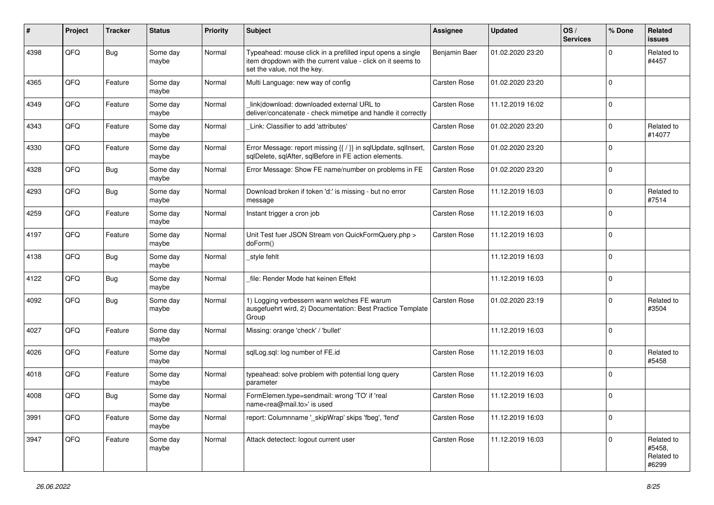| #    | Project | <b>Tracker</b> | <b>Status</b>     | <b>Priority</b> | Subject                                                                                                                                                  | <b>Assignee</b> | <b>Updated</b>   | OS/<br><b>Services</b> | % Done      | Related<br><b>issues</b>                    |
|------|---------|----------------|-------------------|-----------------|----------------------------------------------------------------------------------------------------------------------------------------------------------|-----------------|------------------|------------------------|-------------|---------------------------------------------|
| 4398 | QFQ     | Bug            | Some day<br>maybe | Normal          | Typeahead: mouse click in a prefilled input opens a single<br>item dropdown with the current value - click on it seems to<br>set the value, not the key. | Benjamin Baer   | 01.02.2020 23:20 |                        | $\Omega$    | Related to<br>#4457                         |
| 4365 | QFQ     | Feature        | Some day<br>maybe | Normal          | Multi Language: new way of config                                                                                                                        | Carsten Rose    | 01.02.2020 23:20 |                        | $\mathbf 0$ |                                             |
| 4349 | QFQ     | Feature        | Some day<br>maybe | Normal          | link download: downloaded external URL to<br>deliver/concatenate - check mimetipe and handle it correctly                                                | Carsten Rose    | 11.12.2019 16:02 |                        | $\mathbf 0$ |                                             |
| 4343 | QFQ     | Feature        | Some day<br>maybe | Normal          | Link: Classifier to add 'attributes'                                                                                                                     | Carsten Rose    | 01.02.2020 23:20 |                        | 0           | Related to<br>#14077                        |
| 4330 | QFQ     | Feature        | Some day<br>maybe | Normal          | Error Message: report missing {{ / }} in sqlUpdate, sqlInsert,<br>sqlDelete, sqlAfter, sqlBefore in FE action elements.                                  | Carsten Rose    | 01.02.2020 23:20 |                        | $\Omega$    |                                             |
| 4328 | QFQ     | Bug            | Some day<br>maybe | Normal          | Error Message: Show FE name/number on problems in FE                                                                                                     | Carsten Rose    | 01.02.2020 23:20 |                        | $\mathbf 0$ |                                             |
| 4293 | QFQ     | <b>Bug</b>     | Some day<br>maybe | Normal          | Download broken if token 'd:' is missing - but no error<br>message                                                                                       | Carsten Rose    | 11.12.2019 16:03 |                        | $\Omega$    | Related to<br>#7514                         |
| 4259 | QFQ     | Feature        | Some day<br>maybe | Normal          | Instant trigger a cron job                                                                                                                               | Carsten Rose    | 11.12.2019 16:03 |                        | $\Omega$    |                                             |
| 4197 | QFQ     | Feature        | Some day<br>maybe | Normal          | Unit Test fuer JSON Stream von QuickFormQuery.php ><br>doForm()                                                                                          | Carsten Rose    | 11.12.2019 16:03 |                        | $\Omega$    |                                             |
| 4138 | QFQ     | Bug            | Some day<br>maybe | Normal          | _style fehlt                                                                                                                                             |                 | 11.12.2019 16:03 |                        | $\mathbf 0$ |                                             |
| 4122 | QFQ     | Bug            | Some day<br>maybe | Normal          | file: Render Mode hat keinen Effekt                                                                                                                      |                 | 11.12.2019 16:03 |                        | $\Omega$    |                                             |
| 4092 | QFQ     | Bug            | Some day<br>maybe | Normal          | 1) Logging verbessern wann welches FE warum<br>ausgefuehrt wird, 2) Documentation: Best Practice Template<br>Group                                       | Carsten Rose    | 01.02.2020 23:19 |                        | 0           | Related to<br>#3504                         |
| 4027 | QFQ     | Feature        | Some day<br>maybe | Normal          | Missing: orange 'check' / 'bullet'                                                                                                                       |                 | 11.12.2019 16:03 |                        | $\Omega$    |                                             |
| 4026 | QFQ     | Feature        | Some day<br>maybe | Normal          | sqlLog.sql: log number of FE.id                                                                                                                          | Carsten Rose    | 11.12.2019 16:03 |                        | $\Omega$    | Related to<br>#5458                         |
| 4018 | QFQ     | Feature        | Some day<br>maybe | Normal          | typeahead: solve problem with potential long query<br>parameter                                                                                          | Carsten Rose    | 11.12.2019 16:03 |                        | $\Omega$    |                                             |
| 4008 | QFQ     | Bug            | Some day<br>maybe | Normal          | FormElemen.type=sendmail: wrong 'TO' if 'real<br>name <rea@mail.to>' is used</rea@mail.to>                                                               | Carsten Rose    | 11.12.2019 16:03 |                        | $\Omega$    |                                             |
| 3991 | QFQ     | Feature        | Some day<br>maybe | Normal          | report: Columnname ' skipWrap' skips 'fbeg', 'fend'                                                                                                      | Carsten Rose    | 11.12.2019 16:03 |                        | $\mathbf 0$ |                                             |
| 3947 | QFQ     | Feature        | Some day<br>maybe | Normal          | Attack detectect: logout current user                                                                                                                    | Carsten Rose    | 11.12.2019 16:03 |                        | $\mathbf 0$ | Related to<br>#5458,<br>Related to<br>#6299 |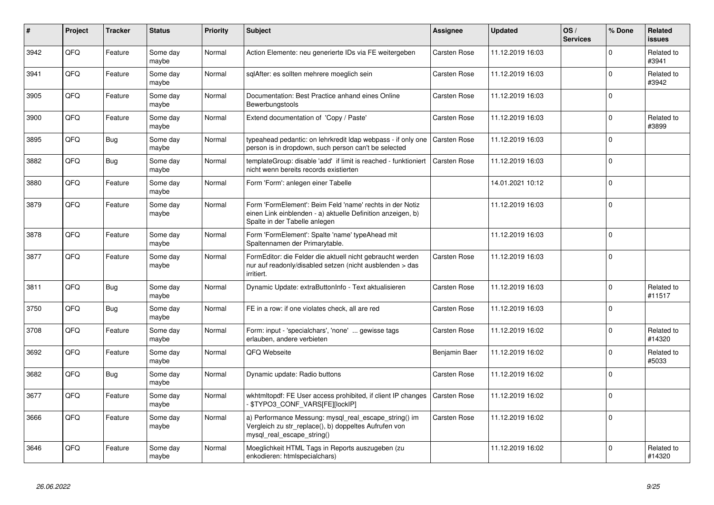| $\vert$ # | Project | <b>Tracker</b> | <b>Status</b>     | <b>Priority</b> | <b>Subject</b>                                                                                                                                           | Assignee            | <b>Updated</b>   | OS/<br><b>Services</b> | % Done      | Related<br><b>issues</b> |
|-----------|---------|----------------|-------------------|-----------------|----------------------------------------------------------------------------------------------------------------------------------------------------------|---------------------|------------------|------------------------|-------------|--------------------------|
| 3942      | QFQ     | Feature        | Some day<br>maybe | Normal          | Action Elemente: neu generierte IDs via FE weitergeben                                                                                                   | Carsten Rose        | 11.12.2019 16:03 |                        | $\Omega$    | Related to<br>#3941      |
| 3941      | QFQ     | Feature        | Some day<br>maybe | Normal          | sglAfter: es sollten mehrere moeglich sein                                                                                                               | Carsten Rose        | 11.12.2019 16:03 |                        | $\Omega$    | Related to<br>#3942      |
| 3905      | QFQ     | Feature        | Some day<br>maybe | Normal          | Documentation: Best Practice anhand eines Online<br>Bewerbungstools                                                                                      | Carsten Rose        | 11.12.2019 16:03 |                        | $\Omega$    |                          |
| 3900      | QFQ     | Feature        | Some day<br>maybe | Normal          | Extend documentation of 'Copy / Paste'                                                                                                                   | Carsten Rose        | 11.12.2019 16:03 |                        | $\Omega$    | Related to<br>#3899      |
| 3895      | QFQ     | Bug            | Some day<br>maybe | Normal          | typeahead pedantic: on lehrkredit Idap webpass - if only one<br>person is in dropdown, such person can't be selected                                     | <b>Carsten Rose</b> | 11.12.2019 16:03 |                        | $\mathbf 0$ |                          |
| 3882      | QFQ     | Bug            | Some day<br>maybe | Normal          | templateGroup: disable 'add' if limit is reached - funktioniert<br>nicht wenn bereits records existierten                                                | <b>Carsten Rose</b> | 11.12.2019 16:03 |                        | $\Omega$    |                          |
| 3880      | QFQ     | Feature        | Some day<br>maybe | Normal          | Form 'Form': anlegen einer Tabelle                                                                                                                       |                     | 14.01.2021 10:12 |                        | $\Omega$    |                          |
| 3879      | QFQ     | Feature        | Some day<br>maybe | Normal          | Form 'FormElement': Beim Feld 'name' rechts in der Notiz<br>einen Link einblenden - a) aktuelle Definition anzeigen, b)<br>Spalte in der Tabelle anlegen |                     | 11.12.2019 16:03 |                        | $\Omega$    |                          |
| 3878      | QFQ     | Feature        | Some day<br>maybe | Normal          | Form 'FormElement': Spalte 'name' typeAhead mit<br>Spaltennamen der Primarytable.                                                                        |                     | 11.12.2019 16:03 |                        | $\Omega$    |                          |
| 3877      | QFQ     | Feature        | Some day<br>maybe | Normal          | FormEditor: die Felder die aktuell nicht gebraucht werden<br>nur auf readonly/disabled setzen (nicht ausblenden > das<br>irritiert.                      | Carsten Rose        | 11.12.2019 16:03 |                        | $\Omega$    |                          |
| 3811      | QFQ     | Bug            | Some day<br>maybe | Normal          | Dynamic Update: extraButtonInfo - Text aktualisieren                                                                                                     | <b>Carsten Rose</b> | 11.12.2019 16:03 |                        | $\Omega$    | Related to<br>#11517     |
| 3750      | QFQ     | Bug            | Some day<br>maybe | Normal          | FE in a row: if one violates check, all are red                                                                                                          | Carsten Rose        | 11.12.2019 16:03 |                        | $\Omega$    |                          |
| 3708      | QFQ     | Feature        | Some day<br>maybe | Normal          | Form: input - 'specialchars', 'none'  gewisse tags<br>erlauben, andere verbieten                                                                         | Carsten Rose        | 11.12.2019 16:02 |                        | $\Omega$    | Related to<br>#14320     |
| 3692      | QFQ     | Feature        | Some day<br>maybe | Normal          | QFQ Webseite                                                                                                                                             | Benjamin Baer       | 11.12.2019 16:02 |                        | $\Omega$    | Related to<br>#5033      |
| 3682      | QFQ     | Bug            | Some day<br>maybe | Normal          | Dynamic update: Radio buttons                                                                                                                            | <b>Carsten Rose</b> | 11.12.2019 16:02 |                        | $\Omega$    |                          |
| 3677      | QFQ     | Feature        | Some day<br>maybe | Normal          | wkhtmltopdf: FE User access prohibited, if client IP changes<br>- \$TYPO3_CONF_VARS[FE][lockIP]                                                          | <b>Carsten Rose</b> | 11.12.2019 16:02 |                        | $\Omega$    |                          |
| 3666      | QFQ     | Feature        | Some day<br>maybe | Normal          | a) Performance Messung: mysql_real_escape_string() im<br>Vergleich zu str_replace(), b) doppeltes Aufrufen von<br>mysql_real_escape_string()             | <b>Carsten Rose</b> | 11.12.2019 16:02 |                        | $\Omega$    |                          |
| 3646      | QFQ     | Feature        | Some dav<br>maybe | Normal          | Moeglichkeit HTML Tags in Reports auszugeben (zu<br>enkodieren: htmlspecialchars)                                                                        |                     | 11.12.2019 16:02 |                        | $\Omega$    | Related to<br>#14320     |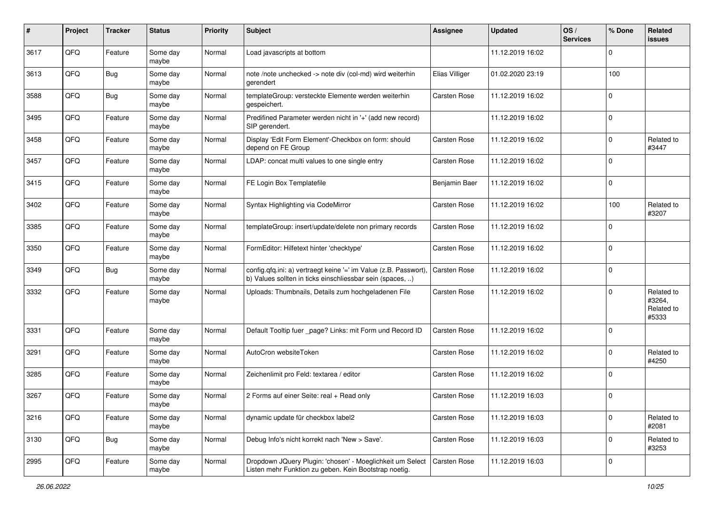| #    | Project | <b>Tracker</b> | <b>Status</b>     | <b>Priority</b> | Subject                                                                                                                       | Assignee            | <b>Updated</b>   | OS/<br><b>Services</b> | % Done      | Related<br>issues                           |
|------|---------|----------------|-------------------|-----------------|-------------------------------------------------------------------------------------------------------------------------------|---------------------|------------------|------------------------|-------------|---------------------------------------------|
| 3617 | QFQ     | Feature        | Some day<br>maybe | Normal          | Load javascripts at bottom                                                                                                    |                     | 11.12.2019 16:02 |                        | 0           |                                             |
| 3613 | QFQ     | Bug            | Some day<br>maybe | Normal          | note /note unchecked -> note div (col-md) wird weiterhin<br>aerendert                                                         | Elias Villiger      | 01.02.2020 23:19 |                        | 100         |                                             |
| 3588 | QFQ     | Bug            | Some day<br>maybe | Normal          | templateGroup: versteckte Elemente werden weiterhin<br>gespeichert.                                                           | Carsten Rose        | 11.12.2019 16:02 |                        | $\Omega$    |                                             |
| 3495 | QFQ     | Feature        | Some day<br>maybe | Normal          | Predifined Parameter werden nicht in '+' (add new record)<br>SIP gerendert.                                                   |                     | 11.12.2019 16:02 |                        | $\mathbf 0$ |                                             |
| 3458 | QFQ     | Feature        | Some day<br>maybe | Normal          | Display 'Edit Form Element'-Checkbox on form: should<br>depend on FE Group                                                    | Carsten Rose        | 11.12.2019 16:02 |                        | $\mathbf 0$ | Related to<br>#3447                         |
| 3457 | QFQ     | Feature        | Some day<br>maybe | Normal          | LDAP: concat multi values to one single entry                                                                                 | Carsten Rose        | 11.12.2019 16:02 |                        | $\Omega$    |                                             |
| 3415 | QFQ     | Feature        | Some day<br>maybe | Normal          | FE Login Box Templatefile                                                                                                     | Benjamin Baer       | 11.12.2019 16:02 |                        | $\Omega$    |                                             |
| 3402 | QFQ     | Feature        | Some day<br>maybe | Normal          | Syntax Highlighting via CodeMirror                                                                                            | Carsten Rose        | 11.12.2019 16:02 |                        | 100         | Related to<br>#3207                         |
| 3385 | QFQ     | Feature        | Some day<br>maybe | Normal          | templateGroup: insert/update/delete non primary records                                                                       | Carsten Rose        | 11.12.2019 16:02 |                        | $\Omega$    |                                             |
| 3350 | QFQ     | Feature        | Some day<br>maybe | Normal          | FormEditor: Hilfetext hinter 'checktype'                                                                                      | Carsten Rose        | 11.12.2019 16:02 |                        | $\Omega$    |                                             |
| 3349 | QFQ     | Bug            | Some day<br>maybe | Normal          | config.qfq.ini: a) vertraegt keine '=' im Value (z.B. Passwort),<br>b) Values sollten in ticks einschliessbar sein (spaces, ) | <b>Carsten Rose</b> | 11.12.2019 16:02 |                        | $\Omega$    |                                             |
| 3332 | QFQ     | Feature        | Some day<br>maybe | Normal          | Uploads: Thumbnails, Details zum hochgeladenen File                                                                           | Carsten Rose        | 11.12.2019 16:02 |                        | $\Omega$    | Related to<br>#3264,<br>Related to<br>#5333 |
| 3331 | QFQ     | Feature        | Some day<br>maybe | Normal          | Default Tooltip fuer _page? Links: mit Form und Record ID                                                                     | Carsten Rose        | 11.12.2019 16:02 |                        | $\Omega$    |                                             |
| 3291 | QFQ     | Feature        | Some day<br>maybe | Normal          | AutoCron websiteToken                                                                                                         | Carsten Rose        | 11.12.2019 16:02 |                        | $\Omega$    | Related to<br>#4250                         |
| 3285 | QFQ     | Feature        | Some day<br>maybe | Normal          | Zeichenlimit pro Feld: textarea / editor                                                                                      | Carsten Rose        | 11.12.2019 16:02 |                        | $\Omega$    |                                             |
| 3267 | QFQ     | Feature        | Some day<br>maybe | Normal          | 2 Forms auf einer Seite: real + Read only                                                                                     | Carsten Rose        | 11.12.2019 16:03 |                        | $\Omega$    |                                             |
| 3216 | QFQ     | Feature        | Some day<br>maybe | Normal          | dynamic update für checkbox label2                                                                                            | Carsten Rose        | 11.12.2019 16:03 |                        | $\mathbf 0$ | Related to<br>#2081                         |
| 3130 | QFQ     | <b>Bug</b>     | Some day<br>maybe | Normal          | Debug Info's nicht korrekt nach 'New > Save'.                                                                                 | Carsten Rose        | 11.12.2019 16:03 |                        | $\mathbf 0$ | Related to<br>#3253                         |
| 2995 | QFQ     | Feature        | Some day<br>maybe | Normal          | Dropdown JQuery Plugin: 'chosen' - Moeglichkeit um Select<br>Listen mehr Funktion zu geben. Kein Bootstrap noetig.            | Carsten Rose        | 11.12.2019 16:03 |                        | $\mathbf 0$ |                                             |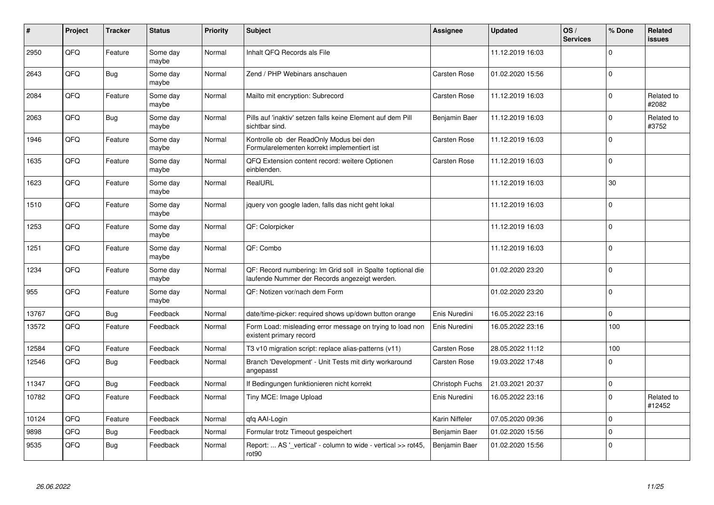| $\vert$ # | Project | <b>Tracker</b> | <b>Status</b>     | Priority | <b>Subject</b>                                                                                               | <b>Assignee</b>     | <b>Updated</b>   | OS/<br><b>Services</b> | % Done   | <b>Related</b><br><b>issues</b> |
|-----------|---------|----------------|-------------------|----------|--------------------------------------------------------------------------------------------------------------|---------------------|------------------|------------------------|----------|---------------------------------|
| 2950      | QFQ     | Feature        | Some day<br>maybe | Normal   | Inhalt QFQ Records als File                                                                                  |                     | 11.12.2019 16:03 |                        | $\Omega$ |                                 |
| 2643      | QFQ     | Bug            | Some day<br>maybe | Normal   | Zend / PHP Webinars anschauen                                                                                | Carsten Rose        | 01.02.2020 15:56 |                        | $\Omega$ |                                 |
| 2084      | QFQ     | Feature        | Some day<br>maybe | Normal   | Mailto mit encryption: Subrecord                                                                             | <b>Carsten Rose</b> | 11.12.2019 16:03 |                        | $\Omega$ | Related to<br>#2082             |
| 2063      | QFQ     | <b>Bug</b>     | Some day<br>maybe | Normal   | Pills auf 'inaktiv' setzen falls keine Element auf dem Pill<br>sichtbar sind.                                | Benjamin Baer       | 11.12.2019 16:03 |                        | $\Omega$ | Related to<br>#3752             |
| 1946      | QFQ     | Feature        | Some day<br>maybe | Normal   | Kontrolle ob der ReadOnly Modus bei den<br>Formularelementen korrekt implementiert ist                       | <b>Carsten Rose</b> | 11.12.2019 16:03 |                        | $\Omega$ |                                 |
| 1635      | QFQ     | Feature        | Some day<br>maybe | Normal   | QFQ Extension content record: weitere Optionen<br>einblenden.                                                | <b>Carsten Rose</b> | 11.12.2019 16:03 |                        | $\Omega$ |                                 |
| 1623      | QFQ     | Feature        | Some day<br>maybe | Normal   | RealURL                                                                                                      |                     | 11.12.2019 16:03 |                        | 30       |                                 |
| 1510      | QFQ     | Feature        | Some day<br>maybe | Normal   | jquery von google laden, falls das nicht geht lokal                                                          |                     | 11.12.2019 16:03 |                        | $\Omega$ |                                 |
| 1253      | QFQ     | Feature        | Some day<br>maybe | Normal   | QF: Colorpicker                                                                                              |                     | 11.12.2019 16:03 |                        | $\Omega$ |                                 |
| 1251      | QFQ     | Feature        | Some day<br>maybe | Normal   | QF: Combo                                                                                                    |                     | 11.12.2019 16:03 |                        | $\Omega$ |                                 |
| 1234      | QFQ     | Feature        | Some day<br>maybe | Normal   | QF: Record numbering: Im Grid soll in Spalte 1 optional die<br>laufende Nummer der Records angezeigt werden. |                     | 01.02.2020 23:20 |                        | $\Omega$ |                                 |
| 955       | QFQ     | Feature        | Some day<br>maybe | Normal   | QF: Notizen vor/nach dem Form                                                                                |                     | 01.02.2020 23:20 |                        | $\Omega$ |                                 |
| 13767     | QFQ     | Bug            | Feedback          | Normal   | date/time-picker: required shows up/down button orange                                                       | Enis Nuredini       | 16.05.2022 23:16 |                        | $\Omega$ |                                 |
| 13572     | QFQ     | Feature        | Feedback          | Normal   | Form Load: misleading error message on trying to load non<br>existent primary record                         | Enis Nuredini       | 16.05.2022 23:16 |                        | 100      |                                 |
| 12584     | QFQ     | Feature        | Feedback          | Normal   | T3 v10 migration script: replace alias-patterns (v11)                                                        | <b>Carsten Rose</b> | 28.05.2022 11:12 |                        | 100      |                                 |
| 12546     | QFQ     | Bug            | Feedback          | Normal   | Branch 'Development' - Unit Tests mit dirty workaround<br>angepasst                                          | <b>Carsten Rose</b> | 19.03.2022 17:48 |                        | $\Omega$ |                                 |
| 11347     | QFQ     | Bug            | Feedback          | Normal   | If Bedingungen funktionieren nicht korrekt                                                                   | Christoph Fuchs     | 21.03.2021 20:37 |                        | $\Omega$ |                                 |
| 10782     | QFQ     | Feature        | Feedback          | Normal   | Tiny MCE: Image Upload                                                                                       | Enis Nuredini       | 16.05.2022 23:16 |                        | $\Omega$ | Related to<br>#12452            |
| 10124     | QFQ     | Feature        | Feedback          | Normal   | qfq AAI-Login                                                                                                | Karin Niffeler      | 07.05.2020 09:36 |                        | $\Omega$ |                                 |
| 9898      | QFQ     | <b>Bug</b>     | Feedback          | Normal   | Formular trotz Timeout gespeichert                                                                           | Benjamin Baer       | 01.02.2020 15:56 |                        | $\Omega$ |                                 |
| 9535      | QFQ     | <b>Bug</b>     | Feedback          | Normal   | Report:  AS ' vertical' - column to wide - vertical >> rot45,<br>rot <sub>90</sub>                           | Benjamin Baer       | 01.02.2020 15:56 |                        | $\Omega$ |                                 |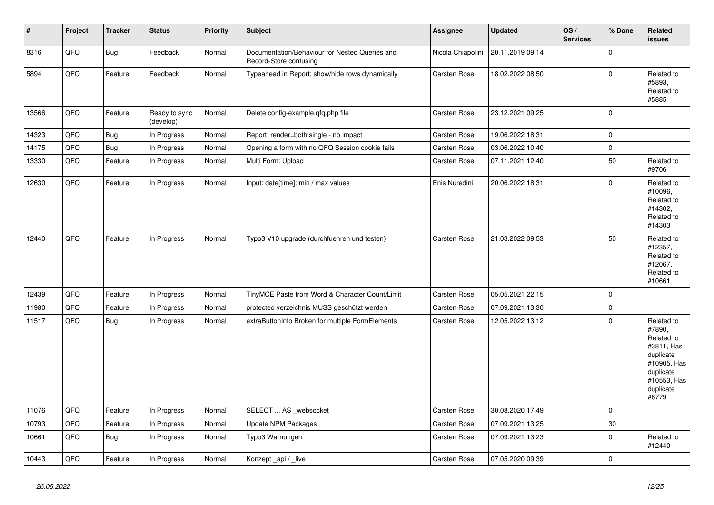| $\vert$ # | Project | <b>Tracker</b> | <b>Status</b>              | <b>Priority</b> | <b>Subject</b>                                                           | Assignee            | <b>Updated</b>                     | OS/<br><b>Services</b> | % Done      | Related<br>issues                                                                                                              |
|-----------|---------|----------------|----------------------------|-----------------|--------------------------------------------------------------------------|---------------------|------------------------------------|------------------------|-------------|--------------------------------------------------------------------------------------------------------------------------------|
| 8316      | QFQ     | <b>Bug</b>     | Feedback                   | Normal          | Documentation/Behaviour for Nested Queries and<br>Record-Store confusing |                     | Nicola Chiapolini 20.11.2019 09:14 |                        | $\Omega$    |                                                                                                                                |
| 5894      | QFQ     | Feature        | Feedback                   | Normal          | Typeahead in Report: show/hide rows dynamically                          | <b>Carsten Rose</b> | 18.02.2022 08:50                   |                        | $\Omega$    | Related to<br>#5893,<br>Related to<br>#5885                                                                                    |
| 13566     | QFQ     | Feature        | Ready to sync<br>(develop) | Normal          | Delete config-example.gfg.php file                                       | Carsten Rose        | 23.12.2021 09:25                   |                        | $\Omega$    |                                                                                                                                |
| 14323     | QFQ     | <b>Bug</b>     | In Progress                | Normal          | Report: render=both single - no impact                                   | Carsten Rose        | 19.06.2022 18:31                   |                        | $\Omega$    |                                                                                                                                |
| 14175     | QFQ     | <b>Bug</b>     | In Progress                | Normal          | Opening a form with no QFQ Session cookie fails                          | <b>Carsten Rose</b> | 03.06.2022 10:40                   |                        | $\mathsf 0$ |                                                                                                                                |
| 13330     | QFQ     | Feature        | In Progress                | Normal          | Multi Form: Upload                                                       | Carsten Rose        | 07.11.2021 12:40                   |                        | 50          | Related to<br>#9706                                                                                                            |
| 12630     | QFQ     | Feature        | In Progress                | Normal          | Input: date[time]: min / max values                                      | Enis Nuredini       | 20.06.2022 18:31                   |                        | $\Omega$    | Related to<br>#10096,<br>Related to<br>#14302,<br>Related to<br>#14303                                                         |
| 12440     | QFQ     | Feature        | In Progress                | Normal          | Typo3 V10 upgrade (durchfuehren und testen)                              | <b>Carsten Rose</b> | 21.03.2022 09:53                   |                        | 50          | Related to<br>#12357,<br>Related to<br>#12067,<br>Related to<br>#10661                                                         |
| 12439     | QFQ     | Feature        | In Progress                | Normal          | TinyMCE Paste from Word & Character Count/Limit                          | Carsten Rose        | 05.05.2021 22:15                   |                        | $\mathbf 0$ |                                                                                                                                |
| 11980     | QFQ     | Feature        | In Progress                | Normal          | protected verzeichnis MUSS geschützt werden                              | Carsten Rose        | 07.09.2021 13:30                   |                        | $\mathsf 0$ |                                                                                                                                |
| 11517     | QFQ     | <b>Bug</b>     | In Progress                | Normal          | extraButtonInfo Broken for multiple FormElements                         | <b>Carsten Rose</b> | 12.05.2022 13:12                   |                        | $\Omega$    | Related to<br>#7890,<br>Related to<br>#3811, Has<br>duplicate<br>#10905, Has<br>duplicate<br>#10553, Has<br>duplicate<br>#6779 |
| 11076     | QFQ     | Feature        | In Progress                | Normal          | SELECT  AS _websocket                                                    | Carsten Rose        | 30.08.2020 17:49                   |                        | $\Omega$    |                                                                                                                                |
| 10793     | QFQ     | Feature        | In Progress                | Normal          | <b>Update NPM Packages</b>                                               | <b>Carsten Rose</b> | 07.09.2021 13:25                   |                        | 30          |                                                                                                                                |
| 10661     | QFQ     | Bug            | In Progress                | Normal          | Typo3 Warnungen                                                          | Carsten Rose        | 07.09.2021 13:23                   |                        | $\Omega$    | Related to<br>#12440                                                                                                           |
| 10443     | QFQ     | Feature        | In Progress                | Normal          | Konzept _api / _live                                                     | <b>Carsten Rose</b> | 07.05.2020 09:39                   |                        | $\Omega$    |                                                                                                                                |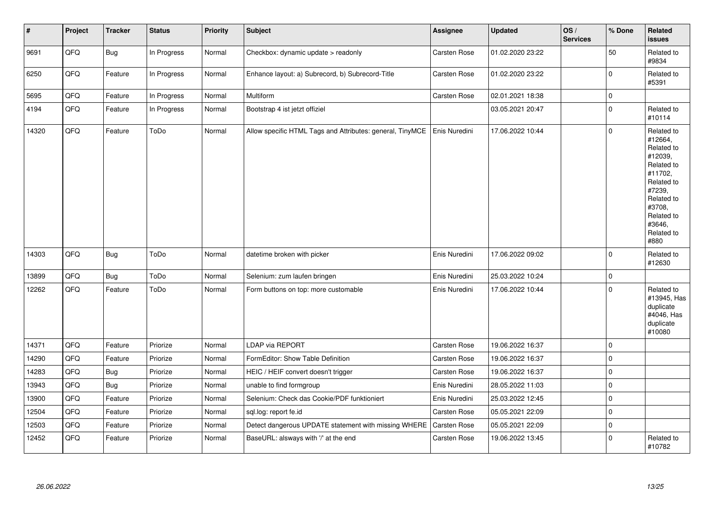| $\sharp$ | Project | <b>Tracker</b> | <b>Status</b> | <b>Priority</b> | <b>Subject</b>                                            | Assignee            | <b>Updated</b>   | OS/<br><b>Services</b> | % Done      | Related<br><b>issues</b>                                                                                                                                              |
|----------|---------|----------------|---------------|-----------------|-----------------------------------------------------------|---------------------|------------------|------------------------|-------------|-----------------------------------------------------------------------------------------------------------------------------------------------------------------------|
| 9691     | QFQ     | Bug            | In Progress   | Normal          | Checkbox: dynamic update > readonly                       | Carsten Rose        | 01.02.2020 23:22 |                        | 50          | Related to<br>#9834                                                                                                                                                   |
| 6250     | QFQ     | Feature        | In Progress   | Normal          | Enhance layout: a) Subrecord, b) Subrecord-Title          | Carsten Rose        | 01.02.2020 23:22 |                        | $\pmb{0}$   | Related to<br>#5391                                                                                                                                                   |
| 5695     | QFQ     | Feature        | In Progress   | Normal          | Multiform                                                 | <b>Carsten Rose</b> | 02.01.2021 18:38 |                        | $\pmb{0}$   |                                                                                                                                                                       |
| 4194     | QFQ     | Feature        | In Progress   | Normal          | Bootstrap 4 ist jetzt offiziel                            |                     | 03.05.2021 20:47 |                        | $\pmb{0}$   | Related to<br>#10114                                                                                                                                                  |
| 14320    | QFQ     | Feature        | ToDo          | Normal          | Allow specific HTML Tags and Attributes: general, TinyMCE | Enis Nuredini       | 17.06.2022 10:44 |                        | $\mathbf 0$ | Related to<br>#12664,<br>Related to<br>#12039,<br>Related to<br>#11702,<br>Related to<br>#7239,<br>Related to<br>#3708,<br>Related to<br>#3646.<br>Related to<br>#880 |
| 14303    | QFQ     | <b>Bug</b>     | ToDo          | Normal          | datetime broken with picker                               | Enis Nuredini       | 17.06.2022 09:02 |                        | $\mathbf 0$ | Related to<br>#12630                                                                                                                                                  |
| 13899    | QFQ     | Bug            | ToDo          | Normal          | Selenium: zum laufen bringen                              | Enis Nuredini       | 25.03.2022 10:24 |                        | $\mathbf 0$ |                                                                                                                                                                       |
| 12262    | QFQ     | Feature        | ToDo          | Normal          | Form buttons on top: more customable                      | Enis Nuredini       | 17.06.2022 10:44 |                        | $\mathbf 0$ | Related to<br>#13945, Has<br>duplicate<br>#4046, Has<br>duplicate<br>#10080                                                                                           |
| 14371    | QFQ     | Feature        | Priorize      | Normal          | LDAP via REPORT                                           | Carsten Rose        | 19.06.2022 16:37 |                        | $\pmb{0}$   |                                                                                                                                                                       |
| 14290    | QFQ     | Feature        | Priorize      | Normal          | FormEditor: Show Table Definition                         | Carsten Rose        | 19.06.2022 16:37 |                        | $\mathbf 0$ |                                                                                                                                                                       |
| 14283    | QFQ     | <b>Bug</b>     | Priorize      | Normal          | HEIC / HEIF convert doesn't trigger                       | Carsten Rose        | 19.06.2022 16:37 |                        | $\mathbf 0$ |                                                                                                                                                                       |
| 13943    | QFQ     | Bug            | Priorize      | Normal          | unable to find formgroup                                  | Enis Nuredini       | 28.05.2022 11:03 |                        | $\mathbf 0$ |                                                                                                                                                                       |
| 13900    | QFQ     | Feature        | Priorize      | Normal          | Selenium: Check das Cookie/PDF funktioniert               | Enis Nuredini       | 25.03.2022 12:45 |                        | $\mathbf 0$ |                                                                                                                                                                       |
| 12504    | QFQ     | Feature        | Priorize      | Normal          | sql.log: report fe.id                                     | Carsten Rose        | 05.05.2021 22:09 |                        | $\mathbf 0$ |                                                                                                                                                                       |
| 12503    | QFQ     | Feature        | Priorize      | Normal          | Detect dangerous UPDATE statement with missing WHERE      | Carsten Rose        | 05.05.2021 22:09 |                        | $\mathbf 0$ |                                                                                                                                                                       |
| 12452    | QFQ     | Feature        | Priorize      | Normal          | BaseURL: alsways with '/' at the end                      | <b>Carsten Rose</b> | 19.06.2022 13:45 |                        | $\mathbf 0$ | Related to<br>#10782                                                                                                                                                  |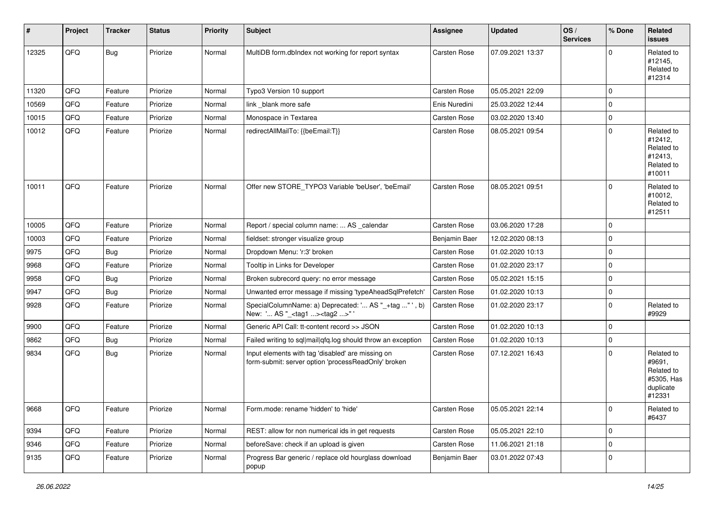| #     | Project | <b>Tracker</b> | <b>Status</b> | <b>Priority</b> | Subject                                                                                                  | Assignee      | <b>Updated</b>   | OS/<br><b>Services</b> | % Done      | Related<br><b>issues</b>                                                |
|-------|---------|----------------|---------------|-----------------|----------------------------------------------------------------------------------------------------------|---------------|------------------|------------------------|-------------|-------------------------------------------------------------------------|
| 12325 | QFQ     | Bug            | Priorize      | Normal          | MultiDB form.dblndex not working for report syntax                                                       | Carsten Rose  | 07.09.2021 13:37 |                        | $\Omega$    | Related to<br>#12145,<br>Related to<br>#12314                           |
| 11320 | QFQ     | Feature        | Priorize      | Normal          | Typo3 Version 10 support                                                                                 | Carsten Rose  | 05.05.2021 22:09 |                        | $\Omega$    |                                                                         |
| 10569 | QFQ     | Feature        | Priorize      | Normal          | link blank more safe                                                                                     | Enis Nuredini | 25.03.2022 12:44 |                        | $\mathbf 0$ |                                                                         |
| 10015 | QFQ     | Feature        | Priorize      | Normal          | Monospace in Textarea                                                                                    | Carsten Rose  | 03.02.2020 13:40 |                        | $\mathbf 0$ |                                                                         |
| 10012 | QFQ     | Feature        | Priorize      | Normal          | redirectAllMailTo: {{beEmail:T}}                                                                         | Carsten Rose  | 08.05.2021 09:54 |                        | $\mathbf 0$ | Related to<br>#12412,<br>Related to<br>#12413,<br>Related to<br>#10011  |
| 10011 | QFQ     | Feature        | Priorize      | Normal          | Offer new STORE_TYPO3 Variable 'beUser', 'beEmail'                                                       | Carsten Rose  | 08.05.2021 09:51 |                        | $\Omega$    | Related to<br>#10012,<br>Related to<br>#12511                           |
| 10005 | QFQ     | Feature        | Priorize      | Normal          | Report / special column name:  AS _calendar                                                              | Carsten Rose  | 03.06.2020 17:28 |                        | $\mathbf 0$ |                                                                         |
| 10003 | QFQ     | Feature        | Priorize      | Normal          | fieldset: stronger visualize group                                                                       | Benjamin Baer | 12.02.2020 08:13 |                        | 0           |                                                                         |
| 9975  | QFQ     | Bug            | Priorize      | Normal          | Dropdown Menu: 'r:3' broken                                                                              | Carsten Rose  | 01.02.2020 10:13 |                        | $\mathbf 0$ |                                                                         |
| 9968  | QFQ     | Feature        | Priorize      | Normal          | Tooltip in Links for Developer                                                                           | Carsten Rose  | 01.02.2020 23:17 |                        | $\mathbf 0$ |                                                                         |
| 9958  | QFQ     | Bug            | Priorize      | Normal          | Broken subrecord query: no error message                                                                 | Carsten Rose  | 05.02.2021 15:15 |                        | $\mathbf 0$ |                                                                         |
| 9947  | QFQ     | <b>Bug</b>     | Priorize      | Normal          | Unwanted error message if missing 'typeAheadSqlPrefetch'                                                 | Carsten Rose  | 01.02.2020 10:13 |                        | $\mathbf 0$ |                                                                         |
| 9928  | QFQ     | Feature        | Priorize      | Normal          | SpecialColumnName: a) Deprecated: ' AS "_+tag " ', b)<br>New: ' AS "_ <tag1><tag2>"'</tag2></tag1>       | Carsten Rose  | 01.02.2020 23:17 |                        | 0           | Related to<br>#9929                                                     |
| 9900  | QFQ     | Feature        | Priorize      | Normal          | Generic API Call: tt-content record >> JSON                                                              | Carsten Rose  | 01.02.2020 10:13 |                        | $\mathbf 0$ |                                                                         |
| 9862  | QFQ     | <b>Bug</b>     | Priorize      | Normal          | Failed writing to sql mail qfq.log should throw an exception                                             | Carsten Rose  | 01.02.2020 10:13 |                        | $\mathbf 0$ |                                                                         |
| 9834  | QFQ     | Bug            | Priorize      | Normal          | Input elements with tag 'disabled' are missing on<br>form-submit: server option 'processReadOnly' broken | Carsten Rose  | 07.12.2021 16:43 |                        | $\mathbf 0$ | Related to<br>#9691,<br>Related to<br>#5305, Has<br>duplicate<br>#12331 |
| 8668  | QFQ     | Feature        | Priorize      | Normal          | Form.mode: rename 'hidden' to 'hide'                                                                     | Carsten Rose  | 05.05.2021 22:14 |                        | 0           | Related to<br>#6437                                                     |
| 9394  | QFQ     | Feature        | Priorize      | Normal          | REST: allow for non numerical ids in get requests                                                        | Carsten Rose  | 05.05.2021 22:10 |                        | $\mathbf 0$ |                                                                         |
| 9346  | QFQ     | Feature        | Priorize      | Normal          | beforeSave: check if an upload is given                                                                  | Carsten Rose  | 11.06.2021 21:18 |                        | $\mathbf 0$ |                                                                         |
| 9135  | QFQ     | Feature        | Priorize      | Normal          | Progress Bar generic / replace old hourglass download<br>popup                                           | Benjamin Baer | 03.01.2022 07:43 |                        | 0           |                                                                         |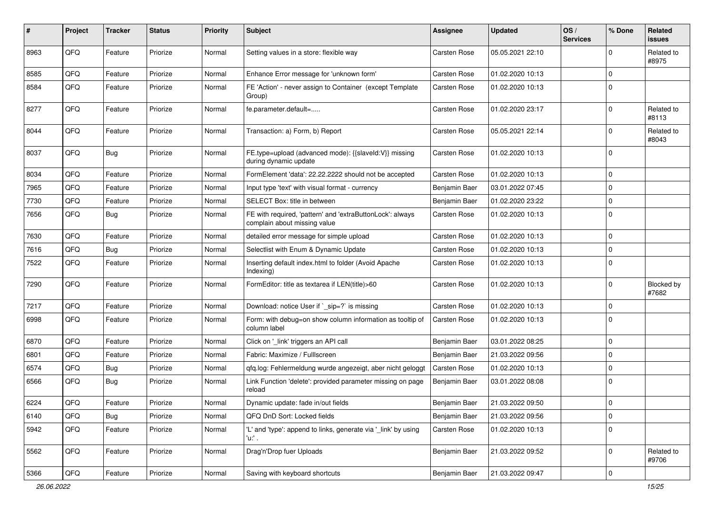| #    | Project | <b>Tracker</b> | <b>Status</b> | Priority | Subject                                                                                   | Assignee            | <b>Updated</b>   | OS/<br><b>Services</b> | % Done      | Related<br>issues   |
|------|---------|----------------|---------------|----------|-------------------------------------------------------------------------------------------|---------------------|------------------|------------------------|-------------|---------------------|
| 8963 | QFQ     | Feature        | Priorize      | Normal   | Setting values in a store: flexible way                                                   | Carsten Rose        | 05.05.2021 22:10 |                        | $\Omega$    | Related to<br>#8975 |
| 8585 | QFQ     | Feature        | Priorize      | Normal   | Enhance Error message for 'unknown form'                                                  | <b>Carsten Rose</b> | 01.02.2020 10:13 |                        | 0           |                     |
| 8584 | QFQ     | Feature        | Priorize      | Normal   | FE 'Action' - never assign to Container (except Template<br>Group)                        | Carsten Rose        | 01.02.2020 10:13 |                        | $\Omega$    |                     |
| 8277 | QFQ     | Feature        | Priorize      | Normal   | fe.parameter.default=                                                                     | <b>Carsten Rose</b> | 01.02.2020 23:17 |                        | $\Omega$    | Related to<br>#8113 |
| 8044 | QFQ     | Feature        | Priorize      | Normal   | Transaction: a) Form, b) Report                                                           | Carsten Rose        | 05.05.2021 22:14 |                        | $\Omega$    | Related to<br>#8043 |
| 8037 | QFQ     | Bug            | Priorize      | Normal   | FE.type=upload (advanced mode): {{slaveId:V}} missing<br>during dynamic update            | Carsten Rose        | 01.02.2020 10:13 |                        | $\Omega$    |                     |
| 8034 | QFQ     | Feature        | Priorize      | Normal   | FormElement 'data': 22.22.2222 should not be accepted                                     | Carsten Rose        | 01.02.2020 10:13 |                        | 0           |                     |
| 7965 | QFQ     | Feature        | Priorize      | Normal   | Input type 'text' with visual format - currency                                           | Benjamin Baer       | 03.01.2022 07:45 |                        | 0           |                     |
| 7730 | QFQ     | Feature        | Priorize      | Normal   | SELECT Box: title in between                                                              | Benjamin Baer       | 01.02.2020 23:22 |                        | $\mathbf 0$ |                     |
| 7656 | QFQ     | Bug            | Priorize      | Normal   | FE with required, 'pattern' and 'extraButtonLock': always<br>complain about missing value | <b>Carsten Rose</b> | 01.02.2020 10:13 |                        | 0           |                     |
| 7630 | QFQ     | Feature        | Priorize      | Normal   | detailed error message for simple upload                                                  | Carsten Rose        | 01.02.2020 10:13 |                        | 0           |                     |
| 7616 | QFQ     | Bug            | Priorize      | Normal   | Selectlist with Enum & Dynamic Update                                                     | <b>Carsten Rose</b> | 01.02.2020 10:13 |                        | 0           |                     |
| 7522 | QFQ     | Feature        | Priorize      | Normal   | Inserting default index.html to folder (Avoid Apache<br>Indexing)                         | Carsten Rose        | 01.02.2020 10:13 |                        | $\Omega$    |                     |
| 7290 | QFQ     | Feature        | Priorize      | Normal   | FormEditor: title as textarea if LEN(title)>60                                            | Carsten Rose        | 01.02.2020 10:13 |                        | $\Omega$    | Blocked by<br>#7682 |
| 7217 | QFQ     | Feature        | Priorize      | Normal   | Download: notice User if `_sip=?` is missing                                              | Carsten Rose        | 01.02.2020 10:13 |                        | $\Omega$    |                     |
| 6998 | QFQ     | Feature        | Priorize      | Normal   | Form: with debug=on show column information as tooltip of<br>column label                 | Carsten Rose        | 01.02.2020 10:13 |                        | 0           |                     |
| 6870 | QFQ     | Feature        | Priorize      | Normal   | Click on '_link' triggers an API call                                                     | Benjamin Baer       | 03.01.2022 08:25 |                        | $\mathbf 0$ |                     |
| 6801 | QFQ     | Feature        | Priorize      | Normal   | Fabric: Maximize / FullIscreen                                                            | Benjamin Baer       | 21.03.2022 09:56 |                        | $\Omega$    |                     |
| 6574 | QFQ     | Bug            | Priorize      | Normal   | qfq.log: Fehlermeldung wurde angezeigt, aber nicht geloggt                                | Carsten Rose        | 01.02.2020 10:13 |                        | 0           |                     |
| 6566 | QFQ     | Bug            | Priorize      | Normal   | Link Function 'delete': provided parameter missing on page<br>reload                      | Benjamin Baer       | 03.01.2022 08:08 |                        | $\Omega$    |                     |
| 6224 | QFG     | Feature        | Priorize      | Normal   | Dynamic update: fade in/out fields                                                        | Benjamin Baer       | 21.03.2022 09:50 |                        | $\Omega$    |                     |
| 6140 | QFQ     | <b>Bug</b>     | Priorize      | Normal   | QFQ DnD Sort: Locked fields                                                               | Benjamin Baer       | 21.03.2022 09:56 |                        | $\mathbf 0$ |                     |
| 5942 | QFQ     | Feature        | Priorize      | Normal   | 'L' and 'type': append to links, generate via '_link' by using<br>'u:' .                  | Carsten Rose        | 01.02.2020 10:13 |                        | 0           |                     |
| 5562 | QFQ     | Feature        | Priorize      | Normal   | Drag'n'Drop fuer Uploads                                                                  | Benjamin Baer       | 21.03.2022 09:52 |                        | 0           | Related to<br>#9706 |
| 5366 | QFQ     | Feature        | Priorize      | Normal   | Saving with keyboard shortcuts                                                            | Benjamin Baer       | 21.03.2022 09:47 |                        | 0           |                     |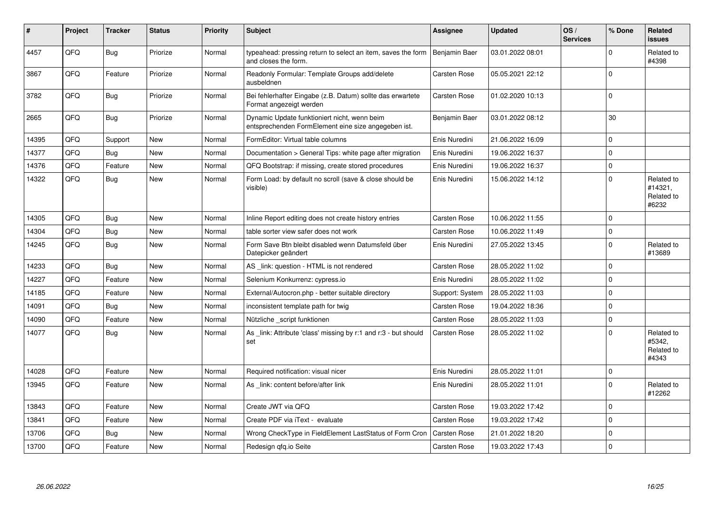| #     | Project | <b>Tracker</b> | <b>Status</b> | <b>Priority</b> | <b>Subject</b>                                                                                      | Assignee            | <b>Updated</b>   | OS/<br><b>Services</b> | % Done      | Related<br><b>issues</b>                     |
|-------|---------|----------------|---------------|-----------------|-----------------------------------------------------------------------------------------------------|---------------------|------------------|------------------------|-------------|----------------------------------------------|
| 4457  | QFQ     | Bug            | Priorize      | Normal          | typeahead: pressing return to select an item, saves the form<br>and closes the form.                | Benjamin Baer       | 03.01.2022 08:01 |                        | $\Omega$    | Related to<br>#4398                          |
| 3867  | QFQ     | Feature        | Priorize      | Normal          | Readonly Formular: Template Groups add/delete<br>ausbeldnen                                         | <b>Carsten Rose</b> | 05.05.2021 22:12 |                        | $\Omega$    |                                              |
| 3782  | QFQ     | Bug            | Priorize      | Normal          | Bei fehlerhafter Eingabe (z.B. Datum) sollte das erwartete<br>Format angezeigt werden               | <b>Carsten Rose</b> | 01.02.2020 10:13 |                        | $\Omega$    |                                              |
| 2665  | QFQ     | Bug            | Priorize      | Normal          | Dynamic Update funktioniert nicht, wenn beim<br>entsprechenden FormElement eine size angegeben ist. | Benjamin Baer       | 03.01.2022 08:12 |                        | 30          |                                              |
| 14395 | QFQ     | Support        | <b>New</b>    | Normal          | FormEditor: Virtual table columns                                                                   | Enis Nuredini       | 21.06.2022 16:09 |                        | $\mathbf 0$ |                                              |
| 14377 | QFQ     | Bug            | <b>New</b>    | Normal          | Documentation > General Tips: white page after migration                                            | Enis Nuredini       | 19.06.2022 16:37 |                        | $\Omega$    |                                              |
| 14376 | QFQ     | Feature        | <b>New</b>    | Normal          | QFQ Bootstrap: if missing, create stored procedures                                                 | Enis Nuredini       | 19.06.2022 16:37 |                        | $\Omega$    |                                              |
| 14322 | QFQ     | Bug            | <b>New</b>    | Normal          | Form Load: by default no scroll (save & close should be<br>visible)                                 | Enis Nuredini       | 15.06.2022 14:12 |                        | $\Omega$    | Related to<br>#14321.<br>Related to<br>#6232 |
| 14305 | QFQ     | Bug            | <b>New</b>    | Normal          | Inline Report editing does not create history entries                                               | Carsten Rose        | 10.06.2022 11:55 |                        | $\Omega$    |                                              |
| 14304 | QFQ     | Bug            | <b>New</b>    | Normal          | table sorter view safer does not work                                                               | <b>Carsten Rose</b> | 10.06.2022 11:49 |                        | $\mathbf 0$ |                                              |
| 14245 | QFQ     | Bug            | New           | Normal          | Form Save Btn bleibt disabled wenn Datumsfeld über<br>Datepicker geändert                           | Enis Nuredini       | 27.05.2022 13:45 |                        | $\mathbf 0$ | Related to<br>#13689                         |
| 14233 | QFQ     | Bug            | New           | Normal          | AS link: question - HTML is not rendered                                                            | <b>Carsten Rose</b> | 28.05.2022 11:02 |                        | $\mathbf 0$ |                                              |
| 14227 | QFQ     | Feature        | <b>New</b>    | Normal          | Selenium Konkurrenz: cypress.io                                                                     | Enis Nuredini       | 28.05.2022 11:02 |                        | $\Omega$    |                                              |
| 14185 | QFQ     | Feature        | <b>New</b>    | Normal          | External/Autocron.php - better suitable directory                                                   | Support: System     | 28.05.2022 11:03 |                        | $\Omega$    |                                              |
| 14091 | QFQ     | Bug            | <b>New</b>    | Normal          | inconsistent template path for twig                                                                 | <b>Carsten Rose</b> | 19.04.2022 18:36 |                        | $\Omega$    |                                              |
| 14090 | QFQ     | Feature        | <b>New</b>    | Normal          | Nützliche script funktionen                                                                         | <b>Carsten Rose</b> | 28.05.2022 11:03 |                        | $\mathbf 0$ |                                              |
| 14077 | QFQ     | Bug            | <b>New</b>    | Normal          | As _link: Attribute 'class' missing by r:1 and r:3 - but should<br>set                              | <b>Carsten Rose</b> | 28.05.2022 11:02 |                        | $\Omega$    | Related to<br>#5342,<br>Related to<br>#4343  |
| 14028 | QFQ     | Feature        | <b>New</b>    | Normal          | Required notification: visual nicer                                                                 | Enis Nuredini       | 28.05.2022 11:01 |                        | $\mathbf 0$ |                                              |
| 13945 | QFQ     | Feature        | <b>New</b>    | Normal          | As link: content before/after link                                                                  | Enis Nuredini       | 28.05.2022 11:01 |                        | $\Omega$    | Related to<br>#12262                         |
| 13843 | QFQ     | Feature        | <b>New</b>    | Normal          | Create JWT via QFQ                                                                                  | Carsten Rose        | 19.03.2022 17:42 |                        | $\Omega$    |                                              |
| 13841 | QFQ     | Feature        | <b>New</b>    | Normal          | Create PDF via iText - evaluate                                                                     | <b>Carsten Rose</b> | 19.03.2022 17:42 |                        | $\Omega$    |                                              |
| 13706 | QFQ     | Bug            | New           | Normal          | Wrong CheckType in FieldElement LastStatus of Form Cron                                             | <b>Carsten Rose</b> | 21.01.2022 18:20 |                        | $\mathbf 0$ |                                              |
| 13700 | QFQ     | Feature        | <b>New</b>    | Normal          | Redesign gfg.io Seite                                                                               | <b>Carsten Rose</b> | 19.03.2022 17:43 |                        | $\Omega$    |                                              |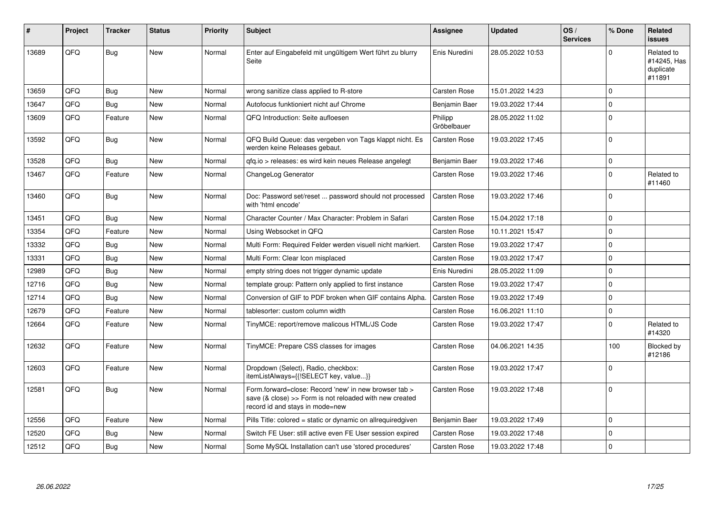| #     | Project | <b>Tracker</b> | <b>Status</b> | Priority | <b>Subject</b>                                                                                                                                      | Assignee               | <b>Updated</b>   | OS/<br><b>Services</b> | % Done      | Related<br>issues                                |
|-------|---------|----------------|---------------|----------|-----------------------------------------------------------------------------------------------------------------------------------------------------|------------------------|------------------|------------------------|-------------|--------------------------------------------------|
| 13689 | QFQ     | Bug            | New           | Normal   | Enter auf Eingabefeld mit ungültigem Wert führt zu blurry<br>Seite                                                                                  | Enis Nuredini          | 28.05.2022 10:53 |                        | $\Omega$    | Related to<br>#14245, Has<br>duplicate<br>#11891 |
| 13659 | QFQ     | Bug            | New           | Normal   | wrong sanitize class applied to R-store                                                                                                             | Carsten Rose           | 15.01.2022 14:23 |                        | $\Omega$    |                                                  |
| 13647 | QFQ     | Bug            | <b>New</b>    | Normal   | Autofocus funktioniert nicht auf Chrome                                                                                                             | Benjamin Baer          | 19.03.2022 17:44 |                        | $\Omega$    |                                                  |
| 13609 | QFQ     | Feature        | New           | Normal   | QFQ Introduction: Seite aufloesen                                                                                                                   | Philipp<br>Gröbelbauer | 28.05.2022 11:02 |                        | 0           |                                                  |
| 13592 | QFQ     | Bug            | New           | Normal   | QFQ Build Queue: das vergeben von Tags klappt nicht. Es<br>werden keine Releases gebaut.                                                            | Carsten Rose           | 19.03.2022 17:45 |                        | $\Omega$    |                                                  |
| 13528 | QFQ     | <b>Bug</b>     | New           | Normal   | gfg.io > releases: es wird kein neues Release angelegt                                                                                              | Benjamin Baer          | 19.03.2022 17:46 |                        | $\Omega$    |                                                  |
| 13467 | QFQ     | Feature        | <b>New</b>    | Normal   | ChangeLog Generator                                                                                                                                 | <b>Carsten Rose</b>    | 19.03.2022 17:46 |                        | $\Omega$    | Related to<br>#11460                             |
| 13460 | QFQ     | Bug            | <b>New</b>    | Normal   | Doc: Password set/reset  password should not processed<br>with 'html encode'                                                                        | <b>Carsten Rose</b>    | 19.03.2022 17:46 |                        | $\Omega$    |                                                  |
| 13451 | QFQ     | Bug            | <b>New</b>    | Normal   | Character Counter / Max Character: Problem in Safari                                                                                                | <b>Carsten Rose</b>    | 15.04.2022 17:18 |                        | 0           |                                                  |
| 13354 | QFQ     | Feature        | New           | Normal   | Using Websocket in QFQ                                                                                                                              | Carsten Rose           | 10.11.2021 15:47 |                        | $\Omega$    |                                                  |
| 13332 | QFQ     | <b>Bug</b>     | New           | Normal   | Multi Form: Required Felder werden visuell nicht markiert.                                                                                          | Carsten Rose           | 19.03.2022 17:47 |                        | $\mathbf 0$ |                                                  |
| 13331 | QFQ     | Bug            | New           | Normal   | Multi Form: Clear Icon misplaced                                                                                                                    | <b>Carsten Rose</b>    | 19.03.2022 17:47 |                        | $\Omega$    |                                                  |
| 12989 | QFQ     | Bug            | <b>New</b>    | Normal   | empty string does not trigger dynamic update                                                                                                        | Enis Nuredini          | 28.05.2022 11:09 |                        | $\Omega$    |                                                  |
| 12716 | QFQ     | Bug            | New           | Normal   | template group: Pattern only applied to first instance                                                                                              | <b>Carsten Rose</b>    | 19.03.2022 17:47 |                        | $\Omega$    |                                                  |
| 12714 | QFQ     | Bug            | New           | Normal   | Conversion of GIF to PDF broken when GIF contains Alpha.                                                                                            | <b>Carsten Rose</b>    | 19.03.2022 17:49 |                        | $\Omega$    |                                                  |
| 12679 | QFQ     | Feature        | New           | Normal   | tablesorter: custom column width                                                                                                                    | Carsten Rose           | 16.06.2021 11:10 |                        | $\mathbf 0$ |                                                  |
| 12664 | QFQ     | Feature        | New           | Normal   | TinyMCE: report/remove malicous HTML/JS Code                                                                                                        | Carsten Rose           | 19.03.2022 17:47 |                        | $\Omega$    | Related to<br>#14320                             |
| 12632 | QFQ     | Feature        | New           | Normal   | TinyMCE: Prepare CSS classes for images                                                                                                             | Carsten Rose           | 04.06.2021 14:35 |                        | 100         | Blocked by<br>#12186                             |
| 12603 | QFQ     | Feature        | <b>New</b>    | Normal   | Dropdown (Select), Radio, checkbox:<br>itemListAlways={{!SELECT key, value}}                                                                        | Carsten Rose           | 19.03.2022 17:47 |                        | $\Omega$    |                                                  |
| 12581 | QFQ     | Bug            | New           | Normal   | Form.forward=close: Record 'new' in new browser tab ><br>save (& close) >> Form is not reloaded with new created<br>record id and stays in mode=new | Carsten Rose           | 19.03.2022 17:48 |                        | 0           |                                                  |
| 12556 | QFQ     | Feature        | New           | Normal   | Pills Title: colored = static or dynamic on allrequiredgiven                                                                                        | Benjamin Baer          | 19.03.2022 17:49 |                        | $\Omega$    |                                                  |
| 12520 | QFQ     | Bug            | New           | Normal   | Switch FE User: still active even FE User session expired                                                                                           | Carsten Rose           | 19.03.2022 17:48 |                        | $\mathbf 0$ |                                                  |
| 12512 | QFQ     | Bug            | New           | Normal   | Some MySQL Installation can't use 'stored procedures'                                                                                               | Carsten Rose           | 19.03.2022 17:48 |                        | $\Omega$    |                                                  |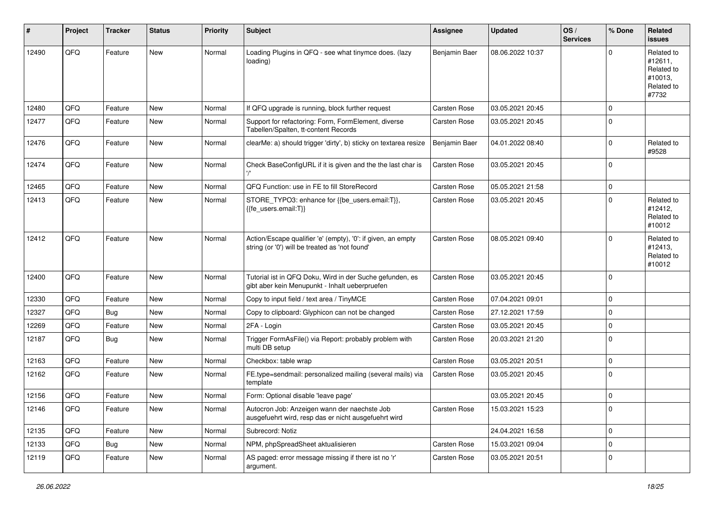| ∦     | Project | <b>Tracker</b> | <b>Status</b> | <b>Priority</b> | Subject                                                                                                        | <b>Assignee</b> | <b>Updated</b>   | OS/<br><b>Services</b> | % Done      | Related<br><b>issues</b>                                              |
|-------|---------|----------------|---------------|-----------------|----------------------------------------------------------------------------------------------------------------|-----------------|------------------|------------------------|-------------|-----------------------------------------------------------------------|
| 12490 | QFQ     | Feature        | <b>New</b>    | Normal          | Loading Plugins in QFQ - see what tinymce does. (lazy<br>loading)                                              | Benjamin Baer   | 08.06.2022 10:37 |                        | $\Omega$    | Related to<br>#12611,<br>Related to<br>#10013,<br>Related to<br>#7732 |
| 12480 | QFQ     | Feature        | <b>New</b>    | Normal          | If QFQ upgrade is running, block further request                                                               | Carsten Rose    | 03.05.2021 20:45 |                        | $\mathbf 0$ |                                                                       |
| 12477 | QFQ     | Feature        | New           | Normal          | Support for refactoring: Form, FormElement, diverse<br>Tabellen/Spalten, tt-content Records                    | Carsten Rose    | 03.05.2021 20:45 |                        | $\Omega$    |                                                                       |
| 12476 | QFQ     | Feature        | <b>New</b>    | Normal          | clearMe: a) should trigger 'dirty', b) sticky on textarea resize                                               | Benjamin Baer   | 04.01.2022 08:40 |                        | $\Omega$    | Related to<br>#9528                                                   |
| 12474 | QFQ     | Feature        | <b>New</b>    | Normal          | Check BaseConfigURL if it is given and the the last char is                                                    | Carsten Rose    | 03.05.2021 20:45 |                        | $\mathbf 0$ |                                                                       |
| 12465 | QFQ     | Feature        | <b>New</b>    | Normal          | QFQ Function: use in FE to fill StoreRecord                                                                    | Carsten Rose    | 05.05.2021 21:58 |                        | $\mathbf 0$ |                                                                       |
| 12413 | QFQ     | Feature        | New           | Normal          | STORE_TYPO3: enhance for {{be_users.email:T}},<br>{{fe users.email:T}}                                         | Carsten Rose    | 03.05.2021 20:45 |                        | $\Omega$    | Related to<br>#12412,<br>Related to<br>#10012                         |
| 12412 | QFQ     | Feature        | <b>New</b>    | Normal          | Action/Escape qualifier 'e' (empty), '0': if given, an empty<br>string (or '0') will be treated as 'not found' | Carsten Rose    | 08.05.2021 09:40 |                        | $\Omega$    | Related to<br>#12413,<br>Related to<br>#10012                         |
| 12400 | QFQ     | Feature        | New           | Normal          | Tutorial ist in QFQ Doku, Wird in der Suche gefunden, es<br>gibt aber kein Menupunkt - Inhalt ueberpruefen     | Carsten Rose    | 03.05.2021 20:45 |                        | 0           |                                                                       |
| 12330 | QFQ     | Feature        | New           | Normal          | Copy to input field / text area / TinyMCE                                                                      | Carsten Rose    | 07.04.2021 09:01 |                        | $\Omega$    |                                                                       |
| 12327 | QFQ     | Bug            | <b>New</b>    | Normal          | Copy to clipboard: Glyphicon can not be changed                                                                | Carsten Rose    | 27.12.2021 17:59 |                        | $\Omega$    |                                                                       |
| 12269 | QFQ     | Feature        | New           | Normal          | 2FA - Login                                                                                                    | Carsten Rose    | 03.05.2021 20:45 |                        | 0           |                                                                       |
| 12187 | QFQ     | Bug            | <b>New</b>    | Normal          | Trigger FormAsFile() via Report: probably problem with<br>multi DB setup                                       | Carsten Rose    | 20.03.2021 21:20 |                        | $\Omega$    |                                                                       |
| 12163 | QFQ     | Feature        | New           | Normal          | Checkbox: table wrap                                                                                           | Carsten Rose    | 03.05.2021 20:51 |                        | $\mathbf 0$ |                                                                       |
| 12162 | QFQ     | Feature        | New           | Normal          | FE.type=sendmail: personalized mailing (several mails) via<br>template                                         | Carsten Rose    | 03.05.2021 20:45 |                        | $\Omega$    |                                                                       |
| 12156 | QFQ     | Feature        | New           | Normal          | Form: Optional disable 'leave page'                                                                            |                 | 03.05.2021 20:45 |                        | $\Omega$    |                                                                       |
| 12146 | QFQ     | Feature        | New           | Normal          | Autocron Job: Anzeigen wann der naechste Job<br>ausgefuehrt wird, resp das er nicht ausgefuehrt wird           | Carsten Rose    | 15.03.2021 15:23 |                        | 0           |                                                                       |
| 12135 | QFQ     | Feature        | New           | Normal          | Subrecord: Notiz                                                                                               |                 | 24.04.2021 16:58 |                        | $\Omega$    |                                                                       |
| 12133 | QFQ     | Bug            | New           | Normal          | NPM, phpSpreadSheet aktualisieren                                                                              | Carsten Rose    | 15.03.2021 09:04 |                        | $\mathbf 0$ |                                                                       |
| 12119 | QFQ     | Feature        | New           | Normal          | AS paged: error message missing if there ist no 'r'<br>argument.                                               | Carsten Rose    | 03.05.2021 20:51 |                        | 0           |                                                                       |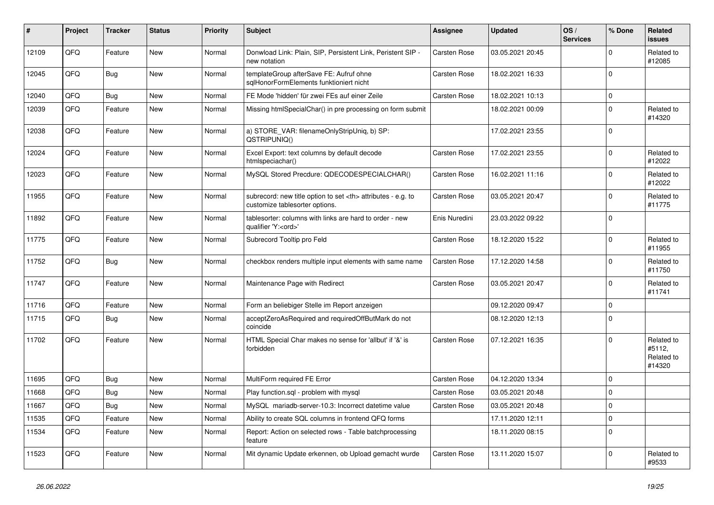| #     | Project | <b>Tracker</b> | <b>Status</b> | <b>Priority</b> | <b>Subject</b>                                                                                       | Assignee                                               | <b>Updated</b>   | OS/<br><b>Services</b> | % Done   | Related<br><b>issues</b>                     |                      |
|-------|---------|----------------|---------------|-----------------|------------------------------------------------------------------------------------------------------|--------------------------------------------------------|------------------|------------------------|----------|----------------------------------------------|----------------------|
| 12109 | QFQ     | Feature        | <b>New</b>    | Normal          | Donwload Link: Plain, SIP, Persistent Link, Peristent SIP -<br>new notation                          | <b>Carsten Rose</b>                                    | 03.05.2021 20:45 |                        | $\Omega$ | Related to<br>#12085                         |                      |
| 12045 | QFQ     | Bug            | <b>New</b>    | Normal          | templateGroup afterSave FE: Aufruf ohne<br>sqlHonorFormElements funktioniert nicht                   | <b>Carsten Rose</b>                                    | 18.02.2021 16:33 |                        | $\Omega$ |                                              |                      |
| 12040 | QFQ     | Bug            | <b>New</b>    | Normal          | FE Mode 'hidden' für zwei FEs auf einer Zeile                                                        | Carsten Rose                                           | 18.02.2021 10:13 |                        | $\Omega$ |                                              |                      |
| 12039 | QFQ     | Feature        | <b>New</b>    | Normal          | Missing htmlSpecialChar() in pre processing on form submit                                           |                                                        | 18.02.2021 00:09 |                        | $\Omega$ | Related to<br>#14320                         |                      |
| 12038 | QFQ     | Feature        | <b>New</b>    | Normal          | a) STORE_VAR: filenameOnlyStripUniq, b) SP:<br>QSTRIPUNIQ()                                          |                                                        | 17.02.2021 23:55 |                        | $\Omega$ |                                              |                      |
| 12024 | QFQ     | Feature        | New           | Normal          | Excel Export: text columns by default decode<br>htmlspeciachar()                                     | <b>Carsten Rose</b>                                    | 17.02.2021 23:55 |                        | $\Omega$ | Related to<br>#12022                         |                      |
| 12023 | QFQ     | Feature        | New           | Normal          | MySQL Stored Precdure: QDECODESPECIALCHAR()                                                          | <b>Carsten Rose</b>                                    | 16.02.2021 11:16 |                        | $\Omega$ | Related to<br>#12022                         |                      |
| 11955 | QFQ     | Feature        | <b>New</b>    | Normal          | subrecord: new title option to set <th> attributes - e.g. to<br/>customize tablesorter options.</th> | attributes - e.g. to<br>customize tablesorter options. | Carsten Rose     | 03.05.2021 20:47       |          | $\Omega$                                     | Related to<br>#11775 |
| 11892 | QFQ     | Feature        | <b>New</b>    | Normal          | tablesorter: columns with links are hard to order - new<br>qualifier 'Y: <ord>'</ord>                | Enis Nuredini                                          | 23.03.2022 09:22 |                        | $\Omega$ |                                              |                      |
| 11775 | QFQ     | Feature        | New           | Normal          | Subrecord Tooltip pro Feld                                                                           | <b>Carsten Rose</b>                                    | 18.12.2020 15:22 |                        | $\Omega$ | Related to<br>#11955                         |                      |
| 11752 | QFQ     | Bug            | <b>New</b>    | Normal          | checkbox renders multiple input elements with same name                                              | <b>Carsten Rose</b>                                    | 17.12.2020 14:58 |                        | $\Omega$ | Related to<br>#11750                         |                      |
| 11747 | QFQ     | Feature        | <b>New</b>    | Normal          | Maintenance Page with Redirect                                                                       | Carsten Rose                                           | 03.05.2021 20:47 |                        | $\Omega$ | Related to<br>#11741                         |                      |
| 11716 | QFQ     | Feature        | <b>New</b>    | Normal          | Form an beliebiger Stelle im Report anzeigen                                                         |                                                        | 09.12.2020 09:47 |                        | $\Omega$ |                                              |                      |
| 11715 | QFQ     | Bug            | <b>New</b>    | Normal          | acceptZeroAsRequired and requiredOffButMark do not<br>coincide                                       |                                                        | 08.12.2020 12:13 |                        | $\Omega$ |                                              |                      |
| 11702 | QFQ     | Feature        | <b>New</b>    | Normal          | HTML Special Char makes no sense for 'allbut' if '&' is<br>forbidden                                 | Carsten Rose                                           | 07.12.2021 16:35 |                        | $\Omega$ | Related to<br>#5112,<br>Related to<br>#14320 |                      |
| 11695 | QFQ     | Bug            | <b>New</b>    | Normal          | MultiForm required FE Error                                                                          | Carsten Rose                                           | 04.12.2020 13:34 |                        | $\Omega$ |                                              |                      |
| 11668 | QFQ     | Bug            | <b>New</b>    | Normal          | Play function.sql - problem with mysql                                                               | Carsten Rose                                           | 03.05.2021 20:48 |                        | $\Omega$ |                                              |                      |
| 11667 | QFQ     | Bug            | <b>New</b>    | Normal          | MySQL mariadb-server-10.3: Incorrect datetime value                                                  | <b>Carsten Rose</b>                                    | 03.05.2021 20:48 |                        | $\Omega$ |                                              |                      |
| 11535 | QFQ     | Feature        | <b>New</b>    | Normal          | Ability to create SQL columns in frontend QFQ forms                                                  |                                                        | 17.11.2020 12:11 |                        | $\Omega$ |                                              |                      |
| 11534 | QFQ     | Feature        | New           | Normal          | Report: Action on selected rows - Table batchprocessing<br>feature                                   |                                                        | 18.11.2020 08:15 |                        | $\Omega$ |                                              |                      |
| 11523 | QFQ     | Feature        | <b>New</b>    | Normal          | Mit dynamic Update erkennen, ob Upload gemacht wurde                                                 | Carsten Rose                                           | 13.11.2020 15:07 |                        | $\Omega$ | Related to<br>#9533                          |                      |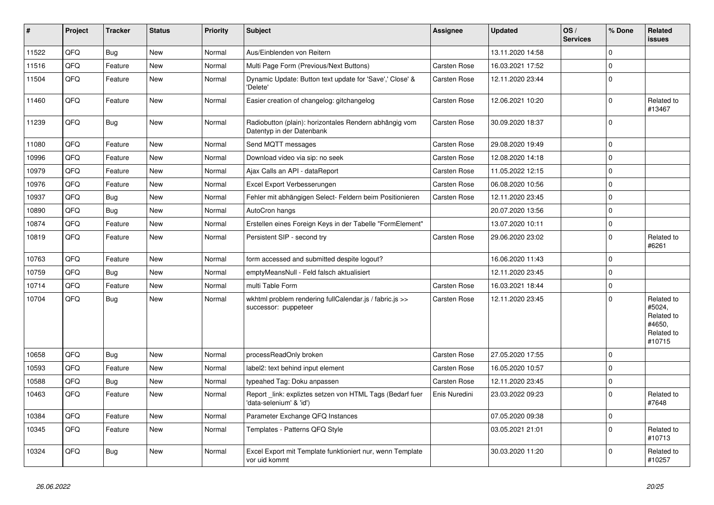| #     | Project | <b>Tracker</b> | <b>Status</b> | <b>Priority</b> | <b>Subject</b>                                                                       | Assignee            | <b>Updated</b>   | OS/<br><b>Services</b> | % Done      | Related<br><b>issues</b>                                             |
|-------|---------|----------------|---------------|-----------------|--------------------------------------------------------------------------------------|---------------------|------------------|------------------------|-------------|----------------------------------------------------------------------|
| 11522 | QFQ     | Bug            | <b>New</b>    | Normal          | Aus/Einblenden von Reitern                                                           |                     | 13.11.2020 14:58 |                        | $\Omega$    |                                                                      |
| 11516 | QFQ     | Feature        | New           | Normal          | Multi Page Form (Previous/Next Buttons)                                              | <b>Carsten Rose</b> | 16.03.2021 17:52 |                        | $\Omega$    |                                                                      |
| 11504 | QFQ     | Feature        | New           | Normal          | Dynamic Update: Button text update for 'Save',' Close' &<br>'Delete'                 | <b>Carsten Rose</b> | 12.11.2020 23:44 |                        | $\Omega$    |                                                                      |
| 11460 | QFQ     | Feature        | New           | Normal          | Easier creation of changelog: gitchangelog                                           | Carsten Rose        | 12.06.2021 10:20 |                        | $\Omega$    | Related to<br>#13467                                                 |
| 11239 | QFQ     | Bug            | New           | Normal          | Radiobutton (plain): horizontales Rendern abhängig vom<br>Datentyp in der Datenbank  | Carsten Rose        | 30.09.2020 18:37 |                        | $\mathbf 0$ |                                                                      |
| 11080 | QFQ     | Feature        | New           | Normal          | Send MQTT messages                                                                   | Carsten Rose        | 29.08.2020 19:49 |                        | $\Omega$    |                                                                      |
| 10996 | QFQ     | Feature        | <b>New</b>    | Normal          | Download video via sip: no seek                                                      | <b>Carsten Rose</b> | 12.08.2020 14:18 |                        | $\Omega$    |                                                                      |
| 10979 | QFQ     | Feature        | New           | Normal          | Ajax Calls an API - dataReport                                                       | Carsten Rose        | 11.05.2022 12:15 |                        | $\Omega$    |                                                                      |
| 10976 | QFQ     | Feature        | New           | Normal          | Excel Export Verbesserungen                                                          | <b>Carsten Rose</b> | 06.08.2020 10:56 |                        | $\Omega$    |                                                                      |
| 10937 | QFQ     | Bug            | <b>New</b>    | Normal          | Fehler mit abhängigen Select- Feldern beim Positionieren                             | Carsten Rose        | 12.11.2020 23:45 |                        | $\Omega$    |                                                                      |
| 10890 | QFQ     | <b>Bug</b>     | <b>New</b>    | Normal          | AutoCron hangs                                                                       |                     | 20.07.2020 13:56 |                        | $\Omega$    |                                                                      |
| 10874 | QFQ     | Feature        | <b>New</b>    | Normal          | Erstellen eines Foreign Keys in der Tabelle "FormElement"                            |                     | 13.07.2020 10:11 |                        | 0           |                                                                      |
| 10819 | QFQ     | Feature        | New           | Normal          | Persistent SIP - second try                                                          | <b>Carsten Rose</b> | 29.06.2020 23:02 |                        | $\Omega$    | Related to<br>#6261                                                  |
| 10763 | QFQ     | Feature        | New           | Normal          | form accessed and submitted despite logout?                                          |                     | 16.06.2020 11:43 |                        | $\Omega$    |                                                                      |
| 10759 | QFQ     | Bug            | New           | Normal          | emptyMeansNull - Feld falsch aktualisiert                                            |                     | 12.11.2020 23:45 |                        | $\mathbf 0$ |                                                                      |
| 10714 | QFQ     | Feature        | New           | Normal          | multi Table Form                                                                     | <b>Carsten Rose</b> | 16.03.2021 18:44 |                        | $\mathbf 0$ |                                                                      |
| 10704 | QFQ     | Bug            | New           | Normal          | wkhtml problem rendering fullCalendar.js / fabric.js >><br>successor: puppeteer      | <b>Carsten Rose</b> | 12.11.2020 23:45 |                        | $\Omega$    | Related to<br>#5024,<br>Related to<br>#4650,<br>Related to<br>#10715 |
| 10658 | QFQ     | Bug            | <b>New</b>    | Normal          | processReadOnly broken                                                               | Carsten Rose        | 27.05.2020 17:55 |                        | 0           |                                                                      |
| 10593 | QFQ     | Feature        | New           | Normal          | label2: text behind input element                                                    | Carsten Rose        | 16.05.2020 10:57 |                        | $\mathbf 0$ |                                                                      |
| 10588 | QFQ     | <b>Bug</b>     | New           | Normal          | typeahed Tag: Doku anpassen                                                          | Carsten Rose        | 12.11.2020 23:45 |                        | $\mathbf 0$ |                                                                      |
| 10463 | QFQ     | Feature        | New           | Normal          | Report _link: expliztes setzen von HTML Tags (Bedarf fuer<br>'data-selenium' & 'id') | Enis Nuredini       | 23.03.2022 09:23 |                        | $\Omega$    | Related to<br>#7648                                                  |
| 10384 | QFQ     | Feature        | New           | Normal          | Parameter Exchange QFQ Instances                                                     |                     | 07.05.2020 09:38 |                        | $\mathbf 0$ |                                                                      |
| 10345 | QFQ     | Feature        | New           | Normal          | Templates - Patterns QFQ Style                                                       |                     | 03.05.2021 21:01 |                        | $\mathbf 0$ | Related to<br>#10713                                                 |
| 10324 | QFQ     | Bug            | <b>New</b>    | Normal          | Excel Export mit Template funktioniert nur, wenn Template<br>vor uid kommt           |                     | 30.03.2020 11:20 |                        | $\Omega$    | Related to<br>#10257                                                 |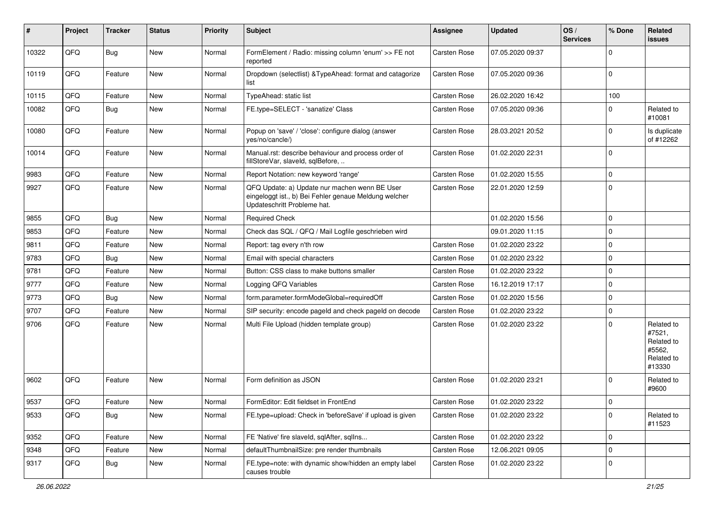| #     | Project | <b>Tracker</b> | <b>Status</b> | <b>Priority</b> | <b>Subject</b>                                                                                                                        | Assignee            | <b>Updated</b>   | OS/<br><b>Services</b> | % Done       | Related<br>issues                                                    |
|-------|---------|----------------|---------------|-----------------|---------------------------------------------------------------------------------------------------------------------------------------|---------------------|------------------|------------------------|--------------|----------------------------------------------------------------------|
| 10322 | QFQ     | <b>Bug</b>     | <b>New</b>    | Normal          | FormElement / Radio: missing column 'enum' >> FE not<br>reported                                                                      | Carsten Rose        | 07.05.2020 09:37 |                        | 0            |                                                                      |
| 10119 | QFQ     | Feature        | New           | Normal          | Dropdown (selectlist) & TypeAhead: format and catagorize<br>list                                                                      | Carsten Rose        | 07.05.2020 09:36 |                        | $\Omega$     |                                                                      |
| 10115 | QFQ     | Feature        | New           | Normal          | TypeAhead: static list                                                                                                                | Carsten Rose        | 26.02.2020 16:42 |                        | 100          |                                                                      |
| 10082 | QFQ     | Bug            | New           | Normal          | FE.type=SELECT - 'sanatize' Class                                                                                                     | Carsten Rose        | 07.05.2020 09:36 |                        | 0            | Related to<br>#10081                                                 |
| 10080 | QFQ     | Feature        | New           | Normal          | Popup on 'save' / 'close': configure dialog (answer<br>yes/no/cancle/)                                                                | Carsten Rose        | 28.03.2021 20:52 |                        | <sup>0</sup> | Is duplicate<br>of #12262                                            |
| 10014 | QFQ     | Feature        | New           | Normal          | Manual.rst: describe behaviour and process order of<br>fillStoreVar, slaveId, sqlBefore,                                              | Carsten Rose        | 01.02.2020 22:31 |                        | $\Omega$     |                                                                      |
| 9983  | QFQ     | Feature        | <b>New</b>    | Normal          | Report Notation: new keyword 'range'                                                                                                  | Carsten Rose        | 01.02.2020 15:55 |                        | $\mathbf 0$  |                                                                      |
| 9927  | QFQ     | Feature        | New           | Normal          | QFQ Update: a) Update nur machen wenn BE User<br>eingeloggt ist., b) Bei Fehler genaue Meldung welcher<br>Updateschritt Probleme hat. | Carsten Rose        | 22.01.2020 12:59 |                        | $\Omega$     |                                                                      |
| 9855  | QFQ     | Bug            | <b>New</b>    | Normal          | <b>Required Check</b>                                                                                                                 |                     | 01.02.2020 15:56 |                        | $\Omega$     |                                                                      |
| 9853  | QFQ     | Feature        | <b>New</b>    | Normal          | Check das SQL / QFQ / Mail Logfile geschrieben wird                                                                                   |                     | 09.01.2020 11:15 |                        | $\Omega$     |                                                                      |
| 9811  | QFQ     | Feature        | New           | Normal          | Report: tag every n'th row                                                                                                            | Carsten Rose        | 01.02.2020 23:22 |                        | $\Omega$     |                                                                      |
| 9783  | QFQ     | Bug            | New           | Normal          | Email with special characters                                                                                                         | Carsten Rose        | 01.02.2020 23:22 |                        | 0            |                                                                      |
| 9781  | QFQ     | Feature        | New           | Normal          | Button: CSS class to make buttons smaller                                                                                             | Carsten Rose        | 01.02.2020 23:22 |                        | 0            |                                                                      |
| 9777  | QFQ     | Feature        | New           | Normal          | Logging QFQ Variables                                                                                                                 | Carsten Rose        | 16.12.2019 17:17 |                        | $\Omega$     |                                                                      |
| 9773  | QFQ     | Bug            | New           | Normal          | form.parameter.formModeGlobal=requiredOff                                                                                             | Carsten Rose        | 01.02.2020 15:56 |                        | $\Omega$     |                                                                      |
| 9707  | QFQ     | Feature        | New           | Normal          | SIP security: encode pageld and check pageld on decode                                                                                | <b>Carsten Rose</b> | 01.02.2020 23:22 |                        | $\mathbf 0$  |                                                                      |
| 9706  | QFQ     | Feature        | New           | Normal          | Multi File Upload (hidden template group)                                                                                             | Carsten Rose        | 01.02.2020 23:22 |                        | 0            | Related to<br>#7521,<br>Related to<br>#5562,<br>Related to<br>#13330 |
| 9602  | QFQ     | Feature        | New           | Normal          | Form definition as JSON                                                                                                               | Carsten Rose        | 01.02.2020 23:21 |                        | $\Omega$     | Related to<br>#9600                                                  |
| 9537  | QFQ     | Feature        | New           | Normal          | FormEditor: Edit fieldset in FrontEnd                                                                                                 | <b>Carsten Rose</b> | 01.02.2020 23:22 |                        | $\Omega$     |                                                                      |
| 9533  | QFQ     | Bug            | New           | Normal          | FE.type=upload: Check in 'beforeSave' if upload is given                                                                              | Carsten Rose        | 01.02.2020 23:22 |                        | $\Omega$     | Related to<br>#11523                                                 |
| 9352  | QFQ     | Feature        | New           | Normal          | FE 'Native' fire slaveld, sqlAfter, sqlIns                                                                                            | Carsten Rose        | 01.02.2020 23:22 |                        | 0            |                                                                      |
| 9348  | QFQ     | Feature        | New           | Normal          | defaultThumbnailSize: pre render thumbnails                                                                                           | Carsten Rose        | 12.06.2021 09:05 |                        | $\mathbf 0$  |                                                                      |
| 9317  | QFQ     | <b>Bug</b>     | New           | Normal          | FE.type=note: with dynamic show/hidden an empty label<br>causes trouble                                                               | Carsten Rose        | 01.02.2020 23:22 |                        | 0            |                                                                      |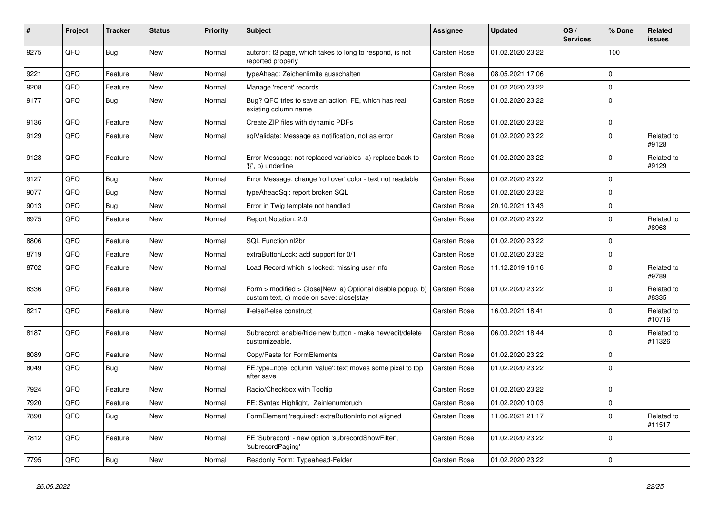| #    | Project | <b>Tracker</b> | <b>Status</b> | <b>Priority</b> | <b>Subject</b>                                                                                         | Assignee            | <b>Updated</b>   | OS/<br><b>Services</b> | % Done       | Related<br>issues    |
|------|---------|----------------|---------------|-----------------|--------------------------------------------------------------------------------------------------------|---------------------|------------------|------------------------|--------------|----------------------|
| 9275 | QFQ     | Bug            | <b>New</b>    | Normal          | auteron: t3 page, which takes to long to respond, is not<br>reported properly                          | Carsten Rose        | 01.02.2020 23:22 |                        | 100          |                      |
| 9221 | QFQ     | Feature        | <b>New</b>    | Normal          | typeAhead: Zeichenlimite ausschalten                                                                   | Carsten Rose        | 08.05.2021 17:06 |                        | $\Omega$     |                      |
| 9208 | QFQ     | Feature        | <b>New</b>    | Normal          | Manage 'recent' records                                                                                | <b>Carsten Rose</b> | 01.02.2020 23:22 |                        | $\Omega$     |                      |
| 9177 | QFQ     | Bug            | <b>New</b>    | Normal          | Bug? QFQ tries to save an action FE, which has real<br>existing column name                            | Carsten Rose        | 01.02.2020 23:22 |                        | $\Omega$     |                      |
| 9136 | QFQ     | Feature        | <b>New</b>    | Normal          | Create ZIP files with dynamic PDFs                                                                     | Carsten Rose        | 01.02.2020 23:22 |                        | $\Omega$     |                      |
| 9129 | QFQ     | Feature        | <b>New</b>    | Normal          | sqlValidate: Message as notification, not as error                                                     | Carsten Rose        | 01.02.2020 23:22 |                        | $\Omega$     | Related to<br>#9128  |
| 9128 | QFQ     | Feature        | <b>New</b>    | Normal          | Error Message: not replaced variables- a) replace back to<br>'{{', b) underline                        | <b>Carsten Rose</b> | 01.02.2020 23:22 |                        | <sup>0</sup> | Related to<br>#9129  |
| 9127 | QFQ     | Bug            | <b>New</b>    | Normal          | Error Message: change 'roll over' color - text not readable                                            | Carsten Rose        | 01.02.2020 23:22 |                        | $\Omega$     |                      |
| 9077 | QFQ     | <b>Bug</b>     | <b>New</b>    | Normal          | typeAheadSql: report broken SQL                                                                        | <b>Carsten Rose</b> | 01.02.2020 23:22 |                        | $\Omega$     |                      |
| 9013 | QFQ     | Bug            | <b>New</b>    | Normal          | Error in Twig template not handled                                                                     | <b>Carsten Rose</b> | 20.10.2021 13:43 |                        | $\Omega$     |                      |
| 8975 | QFQ     | Feature        | <b>New</b>    | Normal          | Report Notation: 2.0                                                                                   | Carsten Rose        | 01.02.2020 23:22 |                        | $\Omega$     | Related to<br>#8963  |
| 8806 | QFQ     | Feature        | <b>New</b>    | Normal          | SQL Function nl2br                                                                                     | Carsten Rose        | 01.02.2020 23:22 |                        | $\mathbf 0$  |                      |
| 8719 | QFQ     | Feature        | <b>New</b>    | Normal          | extraButtonLock: add support for 0/1                                                                   | Carsten Rose        | 01.02.2020 23:22 |                        | $\Omega$     |                      |
| 8702 | QFQ     | Feature        | New           | Normal          | Load Record which is locked: missing user info                                                         | <b>Carsten Rose</b> | 11.12.2019 16:16 |                        | $\Omega$     | Related to<br>#9789  |
| 8336 | QFQ     | Feature        | <b>New</b>    | Normal          | Form > modified > Close New: a) Optional disable popup, b)<br>custom text, c) mode on save: close stay | <b>Carsten Rose</b> | 01.02.2020 23:22 |                        | $\Omega$     | Related to<br>#8335  |
| 8217 | QFQ     | Feature        | <b>New</b>    | Normal          | if-elseif-else construct                                                                               | <b>Carsten Rose</b> | 16.03.2021 18:41 |                        | 0            | Related to<br>#10716 |
| 8187 | QFQ     | Feature        | <b>New</b>    | Normal          | Subrecord: enable/hide new button - make new/edit/delete<br>customizeable.                             | <b>Carsten Rose</b> | 06.03.2021 18:44 |                        | $\Omega$     | Related to<br>#11326 |
| 8089 | QFQ     | Feature        | <b>New</b>    | Normal          | Copy/Paste for FormElements                                                                            | Carsten Rose        | 01.02.2020 23:22 |                        | $\Omega$     |                      |
| 8049 | QFQ     | Bug            | New           | Normal          | FE.type=note, column 'value': text moves some pixel to top<br>after save                               | Carsten Rose        | 01.02.2020 23:22 |                        | $\Omega$     |                      |
| 7924 | QFQ     | Feature        | <b>New</b>    | Normal          | Radio/Checkbox with Tooltip                                                                            | Carsten Rose        | 01.02.2020 23:22 |                        | $\Omega$     |                      |
| 7920 | QFQ     | Feature        | <b>New</b>    | Normal          | FE: Syntax Highlight, Zeinlenumbruch                                                                   | <b>Carsten Rose</b> | 01.02.2020 10:03 |                        | <sup>0</sup> |                      |
| 7890 | QFQ     | Bug            | <b>New</b>    | Normal          | FormElement 'required': extraButtonInfo not aligned                                                    | <b>Carsten Rose</b> | 11.06.2021 21:17 |                        | $\Omega$     | Related to<br>#11517 |
| 7812 | QFQ     | Feature        | <b>New</b>    | Normal          | FE 'Subrecord' - new option 'subrecordShowFilter',<br>'subrecordPaging'                                | Carsten Rose        | 01.02.2020 23:22 |                        | $\Omega$     |                      |
| 7795 | QFQ     | Bug            | <b>New</b>    | Normal          | Readonly Form: Typeahead-Felder                                                                        | <b>Carsten Rose</b> | 01.02.2020 23:22 |                        | $\mathbf 0$  |                      |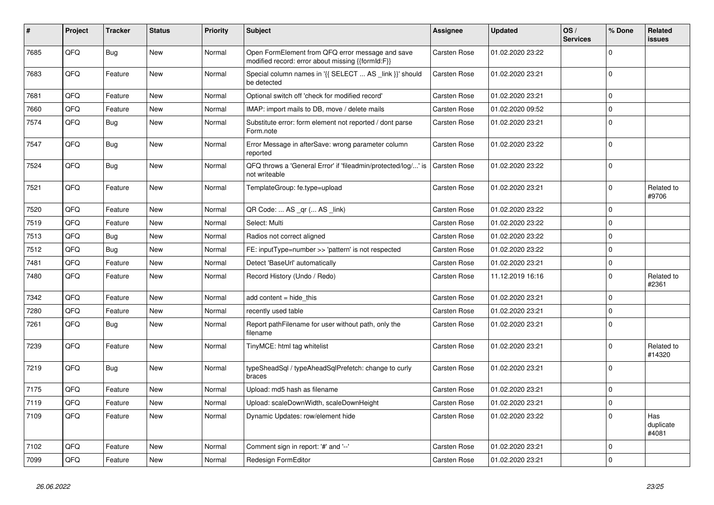| #    | Project | <b>Tracker</b> | <b>Status</b> | <b>Priority</b> | <b>Subject</b>                                                                                        | Assignee            | <b>Updated</b>   | OS/<br><b>Services</b> | % Done      | Related<br>issues         |
|------|---------|----------------|---------------|-----------------|-------------------------------------------------------------------------------------------------------|---------------------|------------------|------------------------|-------------|---------------------------|
| 7685 | QFQ     | Bug            | <b>New</b>    | Normal          | Open FormElement from QFQ error message and save<br>modified record: error about missing {{formId:F}} | Carsten Rose        | 01.02.2020 23:22 |                        | $\Omega$    |                           |
| 7683 | QFQ     | Feature        | <b>New</b>    | Normal          | Special column names in '{{ SELECT  AS _link }}' should<br>be detected                                | <b>Carsten Rose</b> | 01.02.2020 23:21 |                        | $\Omega$    |                           |
| 7681 | QFQ     | Feature        | New           | Normal          | Optional switch off 'check for modified record'                                                       | <b>Carsten Rose</b> | 01.02.2020 23:21 |                        | $\mathbf 0$ |                           |
| 7660 | QFQ     | Feature        | New           | Normal          | IMAP: import mails to DB, move / delete mails                                                         | Carsten Rose        | 01.02.2020 09:52 |                        | $\mathbf 0$ |                           |
| 7574 | QFQ     | Bug            | New           | Normal          | Substitute error: form element not reported / dont parse<br>Form.note                                 | <b>Carsten Rose</b> | 01.02.2020 23:21 |                        | $\Omega$    |                           |
| 7547 | QFQ     | Bug            | New           | Normal          | Error Message in afterSave: wrong parameter column<br>reported                                        | <b>Carsten Rose</b> | 01.02.2020 23:22 |                        | $\Omega$    |                           |
| 7524 | QFQ     | Bug            | New           | Normal          | QFQ throws a 'General Error' if 'fileadmin/protected/log/' is<br>not writeable                        | <b>Carsten Rose</b> | 01.02.2020 23:22 |                        | $\Omega$    |                           |
| 7521 | QFQ     | Feature        | <b>New</b>    | Normal          | TemplateGroup: fe.type=upload                                                                         | <b>Carsten Rose</b> | 01.02.2020 23:21 |                        | $\Omega$    | Related to<br>#9706       |
| 7520 | QFQ     | Feature        | New           | Normal          | QR Code:  AS _qr ( AS _link)                                                                          | Carsten Rose        | 01.02.2020 23:22 |                        | $\Omega$    |                           |
| 7519 | QFQ     | Feature        | <b>New</b>    | Normal          | Select: Multi                                                                                         | <b>Carsten Rose</b> | 01.02.2020 23:22 |                        | $\mathbf 0$ |                           |
| 7513 | QFQ     | Bug            | <b>New</b>    | Normal          | Radios not correct aligned                                                                            | Carsten Rose        | 01.02.2020 23:22 |                        | $\Omega$    |                           |
| 7512 | QFQ     | Bug            | <b>New</b>    | Normal          | FE: inputType=number >> 'pattern' is not respected                                                    | <b>Carsten Rose</b> | 01.02.2020 23:22 |                        | $\Omega$    |                           |
| 7481 | QFQ     | Feature        | <b>New</b>    | Normal          | Detect 'BaseUrl' automatically                                                                        | <b>Carsten Rose</b> | 01.02.2020 23:21 |                        | $\Omega$    |                           |
| 7480 | QFQ     | Feature        | New           | Normal          | Record History (Undo / Redo)                                                                          | Carsten Rose        | 11.12.2019 16:16 |                        | $\Omega$    | Related to<br>#2361       |
| 7342 | QFQ     | Feature        | New           | Normal          | add content = hide this                                                                               | Carsten Rose        | 01.02.2020 23:21 |                        | $\Omega$    |                           |
| 7280 | QFQ     | Feature        | <b>New</b>    | Normal          | recently used table                                                                                   | <b>Carsten Rose</b> | 01.02.2020 23:21 |                        | $\Omega$    |                           |
| 7261 | QFQ     | Bug            | <b>New</b>    | Normal          | Report pathFilename for user without path, only the<br>filename                                       | Carsten Rose        | 01.02.2020 23:21 |                        | $\Omega$    |                           |
| 7239 | QFQ     | Feature        | <b>New</b>    | Normal          | TinyMCE: html tag whitelist                                                                           | Carsten Rose        | 01.02.2020 23:21 |                        | $\Omega$    | Related to<br>#14320      |
| 7219 | QFQ     | Bug            | New           | Normal          | typeSheadSql / typeAheadSqlPrefetch: change to curly<br>braces                                        | <b>Carsten Rose</b> | 01.02.2020 23:21 |                        | $\Omega$    |                           |
| 7175 | QFQ     | Feature        | <b>New</b>    | Normal          | Upload: md5 hash as filename                                                                          | Carsten Rose        | 01.02.2020 23:21 |                        | $\Omega$    |                           |
| 7119 | QFQ     | Feature        | <b>New</b>    | Normal          | Upload: scaleDownWidth, scaleDownHeight                                                               | <b>Carsten Rose</b> | 01.02.2020 23:21 |                        | $\Omega$    |                           |
| 7109 | QFQ     | Feature        | <b>New</b>    | Normal          | Dynamic Updates: row/element hide                                                                     | <b>Carsten Rose</b> | 01.02.2020 23:22 |                        | $\Omega$    | Has<br>duplicate<br>#4081 |
| 7102 | QFQ     | Feature        | <b>New</b>    | Normal          | Comment sign in report: '#' and '--'                                                                  | Carsten Rose        | 01.02.2020 23:21 |                        | $\Omega$    |                           |
| 7099 | QFQ     | Feature        | <b>New</b>    | Normal          | Redesign FormEditor                                                                                   | <b>Carsten Rose</b> | 01.02.2020 23:21 |                        | $\Omega$    |                           |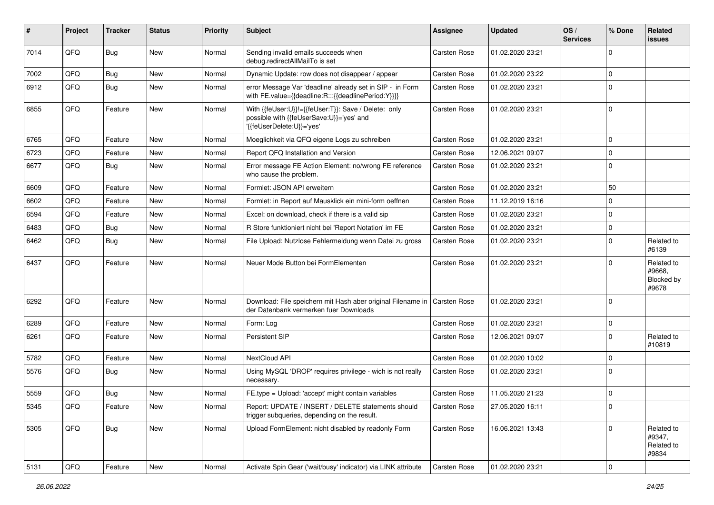| #    | Project | <b>Tracker</b> | <b>Status</b> | <b>Priority</b> | <b>Subject</b>                                                                                                               | Assignee            | <b>Updated</b>   | OS/<br><b>Services</b> | % Done      | <b>Related</b><br>issues                    |
|------|---------|----------------|---------------|-----------------|------------------------------------------------------------------------------------------------------------------------------|---------------------|------------------|------------------------|-------------|---------------------------------------------|
| 7014 | QFQ     | <b>Bug</b>     | <b>New</b>    | Normal          | Sending invalid emails succeeds when<br>debug.redirectAllMailTo is set                                                       | Carsten Rose        | 01.02.2020 23:21 |                        | 0           |                                             |
| 7002 | QFQ     | Bug            | <b>New</b>    | Normal          | Dynamic Update: row does not disappear / appear                                                                              | <b>Carsten Rose</b> | 01.02.2020 23:22 |                        | $\mathbf 0$ |                                             |
| 6912 | QFQ     | Bug            | New           | Normal          | error Message Var 'deadline' already set in SIP - in Form<br>with FE.value={{deadline:R:::{{deadlinePeriod:Y}}}}             | Carsten Rose        | 01.02.2020 23:21 |                        | $\Omega$    |                                             |
| 6855 | QFQ     | Feature        | <b>New</b>    | Normal          | With {{feUser:U}}!={{feUser:T}}: Save / Delete: only<br>possible with {{feUserSave:U}}='yes' and<br>'{feUserDelete:U}}='yes' | Carsten Rose        | 01.02.2020 23:21 |                        | $\Omega$    |                                             |
| 6765 | QFQ     | Feature        | <b>New</b>    | Normal          | Moeglichkeit via QFQ eigene Logs zu schreiben                                                                                | Carsten Rose        | 01.02.2020 23:21 |                        | $\Omega$    |                                             |
| 6723 | QFQ     | Feature        | New           | Normal          | Report QFQ Installation and Version                                                                                          | Carsten Rose        | 12.06.2021 09:07 |                        | $\Omega$    |                                             |
| 6677 | QFQ     | Bug            | New           | Normal          | Error message FE Action Element: no/wrong FE reference<br>who cause the problem.                                             | <b>Carsten Rose</b> | 01.02.2020 23:21 |                        | $\mathbf 0$ |                                             |
| 6609 | QFQ     | Feature        | New           | Normal          | Formlet: JSON API erweitern                                                                                                  | Carsten Rose        | 01.02.2020 23:21 |                        | 50          |                                             |
| 6602 | QFQ     | Feature        | New           | Normal          | Formlet: in Report auf Mausklick ein mini-form oeffnen                                                                       | Carsten Rose        | 11.12.2019 16:16 |                        | $\Omega$    |                                             |
| 6594 | QFQ     | Feature        | New           | Normal          | Excel: on download, check if there is a valid sip                                                                            | Carsten Rose        | 01.02.2020 23:21 |                        | $\mathbf 0$ |                                             |
| 6483 | QFQ     | Bug            | New           | Normal          | R Store funktioniert nicht bei 'Report Notation' im FE                                                                       | <b>Carsten Rose</b> | 01.02.2020 23:21 |                        | 0           |                                             |
| 6462 | QFQ     | Bug            | New           | Normal          | File Upload: Nutzlose Fehlermeldung wenn Datei zu gross                                                                      | Carsten Rose        | 01.02.2020 23:21 |                        | 0           | Related to<br>#6139                         |
| 6437 | QFQ     | Feature        | New           | Normal          | Neuer Mode Button bei FormElementen                                                                                          | Carsten Rose        | 01.02.2020 23:21 |                        | $\Omega$    | Related to<br>#9668,<br>Blocked by<br>#9678 |
| 6292 | QFQ     | Feature        | <b>New</b>    | Normal          | Download: File speichern mit Hash aber original Filename in<br>der Datenbank vermerken fuer Downloads                        | Carsten Rose        | 01.02.2020 23:21 |                        | $\Omega$    |                                             |
| 6289 | QFQ     | Feature        | <b>New</b>    | Normal          | Form: Log                                                                                                                    | Carsten Rose        | 01.02.2020 23:21 |                        | $\Omega$    |                                             |
| 6261 | QFQ     | Feature        | New           | Normal          | Persistent SIP                                                                                                               | Carsten Rose        | 12.06.2021 09:07 |                        | $\Omega$    | Related to<br>#10819                        |
| 5782 | QFQ     | Feature        | <b>New</b>    | Normal          | NextCloud API                                                                                                                | <b>Carsten Rose</b> | 01.02.2020 10:02 |                        | $\Omega$    |                                             |
| 5576 | QFQ     | Bug            | New           | Normal          | Using MySQL 'DROP' requires privilege - wich is not really<br>necessary.                                                     | Carsten Rose        | 01.02.2020 23:21 |                        | $\Omega$    |                                             |
| 5559 | QFQ     | <b>Bug</b>     | <b>New</b>    | Normal          | FE.type = Upload: 'accept' might contain variables                                                                           | Carsten Rose        | 11.05.2020 21:23 |                        | $\Omega$    |                                             |
| 5345 | QFQ     | Feature        | New           | Normal          | Report: UPDATE / INSERT / DELETE statements should<br>trigger subqueries, depending on the result.                           | Carsten Rose        | 27.05.2020 16:11 |                        | 0           |                                             |
| 5305 | QFQ     | <b>Bug</b>     | New           | Normal          | Upload FormElement: nicht disabled by readonly Form                                                                          | <b>Carsten Rose</b> | 16.06.2021 13:43 |                        | $\mathbf 0$ | Related to<br>#9347,<br>Related to<br>#9834 |
| 5131 | QFQ     | Feature        | New           | Normal          | Activate Spin Gear ('wait/busy' indicator) via LINK attribute                                                                | Carsten Rose        | 01.02.2020 23:21 |                        | 0           |                                             |